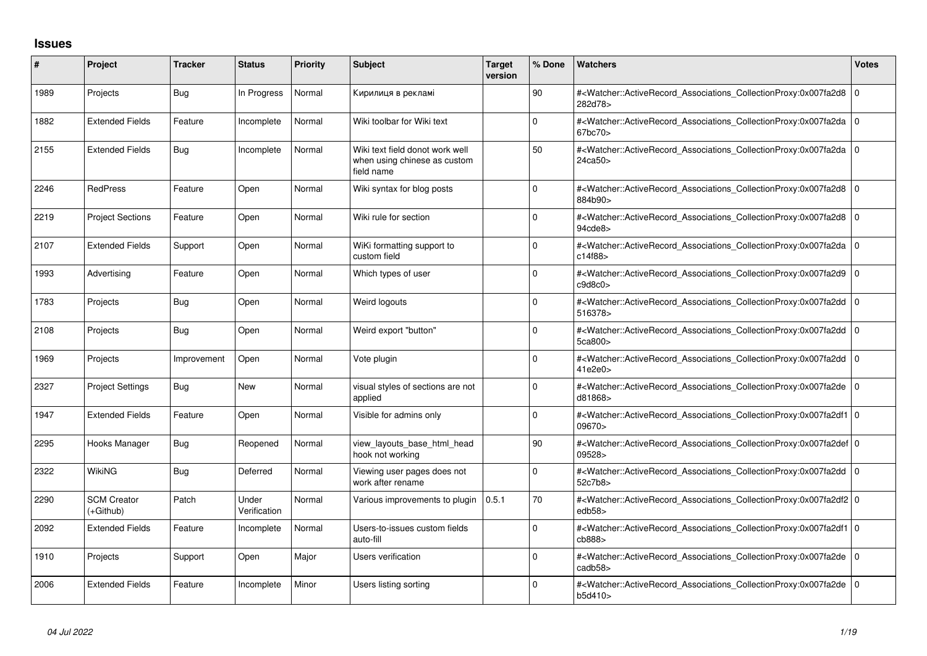## **Issues**

| #    | Project                         | <b>Tracker</b> | <b>Status</b>         | <b>Priority</b> | <b>Subject</b>                                                                | <b>Target</b><br>version | % Done       | <b>Watchers</b>                                                                                                                                           | <b>Votes</b> |
|------|---------------------------------|----------------|-----------------------|-----------------|-------------------------------------------------------------------------------|--------------------------|--------------|-----------------------------------------------------------------------------------------------------------------------------------------------------------|--------------|
| 1989 | Projects                        | Bug            | In Progress           | Normal          | Кирилиця в рекламі                                                            |                          | 90           | # <watcher::activerecord_associations_collectionproxy:0x007fa2d8 0<br=""  ="">282d78&gt;</watcher::activerecord_associations_collectionproxy:0x007fa2d8>  |              |
| 1882 | <b>Extended Fields</b>          | Feature        | Incomplete            | Normal          | Wiki toolbar for Wiki text                                                    |                          | 0            | # <watcher::activerecord_associations_collectionproxy:0x007fa2da 0<br="">67bc70&gt;</watcher::activerecord_associations_collectionproxy:0x007fa2da>       |              |
| 2155 | <b>Extended Fields</b>          | <b>Bug</b>     | Incomplete            | Normal          | Wiki text field donot work well<br>when using chinese as custom<br>field name |                          | 50           | # <watcher::activerecord_associations_collectionproxy:0x007fa2da 0<br=""  ="">24ca50&gt;</watcher::activerecord_associations_collectionproxy:0x007fa2da>  |              |
| 2246 | <b>RedPress</b>                 | Feature        | Open                  | Normal          | Wiki syntax for blog posts                                                    |                          | $\Omega$     | # <watcher::activerecord 0<br="" associations="" collectionproxy:0x007fa2d8=""  ="">884b90&gt;</watcher::activerecord>                                    |              |
| 2219 | <b>Project Sections</b>         | Feature        | Open                  | Normal          | Wiki rule for section                                                         |                          | 0            | # <watcher::activerecord_associations_collectionproxy:0x007fa2d8 0<br="">94cde8</watcher::activerecord_associations_collectionproxy:0x007fa2d8>           |              |
| 2107 | <b>Extended Fields</b>          | Support        | Open                  | Normal          | WiKi formatting support to<br>custom field                                    |                          | <sup>0</sup> | # <watcher::activerecord_associations_collectionproxy:0x007fa2da 0<br=""  ="">c14f88</watcher::activerecord_associations_collectionproxy:0x007fa2da>      |              |
| 1993 | Advertising                     | Feature        | Open                  | Normal          | Which types of user                                                           |                          | <sup>0</sup> | # <watcher::activerecord_associations_collectionproxy:0x007fa2d9 0<br="">c9d8c0</watcher::activerecord_associations_collectionproxy:0x007fa2d9>           |              |
| 1783 | Projects                        | Bug            | Open                  | Normal          | Weird logouts                                                                 |                          | $\Omega$     | # <watcher::activerecord 0<br="" associations="" collectionproxy:0x007fa2dd=""  ="">516378&gt;</watcher::activerecord>                                    |              |
| 2108 | Projects                        | Bug            | Open                  | Normal          | Weird export "button"                                                         |                          | $\Omega$     | # <watcher::activerecord_associations_collectionproxy:0x007fa2dd 0<br="">5ca800&gt;</watcher::activerecord_associations_collectionproxy:0x007fa2dd>       |              |
| 1969 | Projects                        | Improvement    | Open                  | Normal          | Vote plugin                                                                   |                          | 0            | # <watcher::activerecord_associations_collectionproxy:0x007fa2dd 0<br="">41e2e0</watcher::activerecord_associations_collectionproxy:0x007fa2dd>           |              |
| 2327 | <b>Project Settings</b>         | <b>Bug</b>     | <b>New</b>            | Normal          | visual styles of sections are not<br>applied                                  |                          | $\Omega$     | # <watcher::activerecord_associations_collectionproxy:0x007fa2de 0<br=""  ="">d81868&gt;</watcher::activerecord_associations_collectionproxy:0x007fa2de>  |              |
| 1947 | <b>Extended Fields</b>          | Feature        | Open                  | Normal          | Visible for admins only                                                       |                          | $\Omega$     | # <watcher::activerecord_associations_collectionproxy:0x007fa2df1 0<br="">09670&gt;</watcher::activerecord_associations_collectionproxy:0x007fa2df1>      |              |
| 2295 | Hooks Manager                   | Bug            | Reopened              | Normal          | view layouts base html head<br>hook not working                               |                          | 90           | # <watcher::activerecord_associations_collectionproxy:0x007fa2def 0<br=""  ="">09528&gt;</watcher::activerecord_associations_collectionproxy:0x007fa2def> |              |
| 2322 | <b>WikiNG</b>                   | Bug            | Deferred              | Normal          | Viewing user pages does not<br>work after rename                              |                          | 0            | # <watcher::activerecord_associations_collectionproxy:0x007fa2dd 0<br="">52c7b8&gt;</watcher::activerecord_associations_collectionproxy:0x007fa2dd>       |              |
| 2290 | <b>SCM Creator</b><br>(+Github) | Patch          | Under<br>Verification | Normal          | Various improvements to plugin                                                | 0.5.1                    | 70           | # <watcher::activerecord 0<br="" associations="" collectionproxy:0x007fa2df2=""  ="">edb58</watcher::activerecord>                                        |              |
| 2092 | <b>Extended Fields</b>          | Feature        | Incomplete            | Normal          | Users-to-issues custom fields<br>auto-fill                                    |                          | $\Omega$     | # <watcher::activerecord_associations_collectionproxy:0x007fa2df1 0<br="">cb888&gt;</watcher::activerecord_associations_collectionproxy:0x007fa2df1>      |              |
| 1910 | Projects                        | Support        | Open                  | Major           | <b>Users verification</b>                                                     |                          | <sup>0</sup> | # <watcher::activerecord_associations_collectionproxy:0x007fa2de 0<br="">cadb58&gt;</watcher::activerecord_associations_collectionproxy:0x007fa2de>       |              |
| 2006 | <b>Extended Fields</b>          | Feature        | Incomplete            | Minor           | Users listing sorting                                                         |                          | 0            | # <watcher::activerecord_associations_collectionproxy:0x007fa2de 0<br=""  ="">b5d410&gt;</watcher::activerecord_associations_collectionproxy:0x007fa2de>  |              |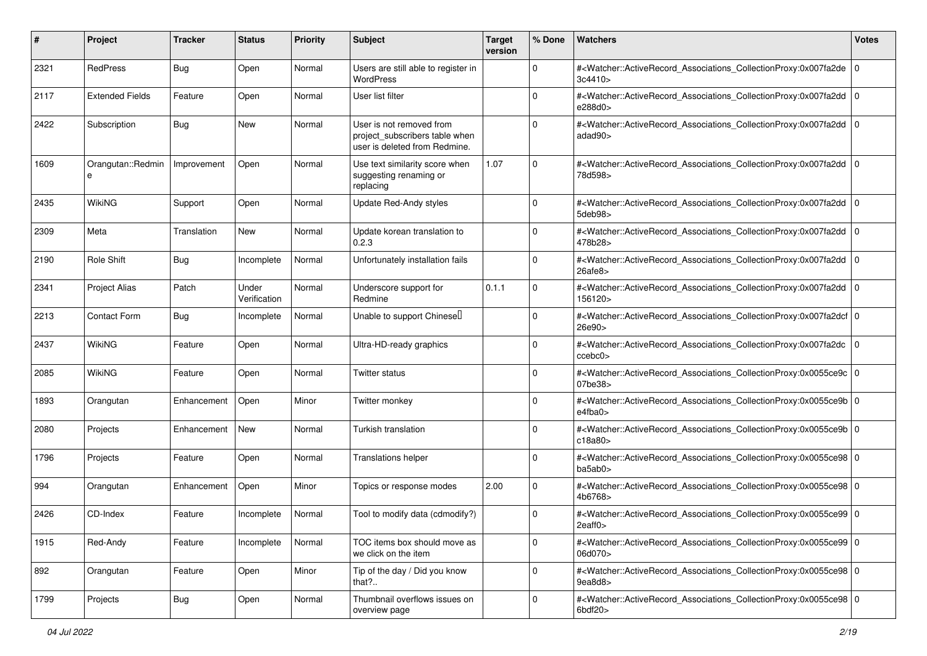| ∦    | Project                | <b>Tracker</b> | <b>Status</b>         | <b>Priority</b> | <b>Subject</b>                                                                              | <b>Target</b><br>version | % Done       | <b>Watchers</b>                                                                                                                                                                | <b>Votes</b> |
|------|------------------------|----------------|-----------------------|-----------------|---------------------------------------------------------------------------------------------|--------------------------|--------------|--------------------------------------------------------------------------------------------------------------------------------------------------------------------------------|--------------|
| 2321 | RedPress               | <b>Bug</b>     | Open                  | Normal          | Users are still able to register in<br><b>WordPress</b>                                     |                          | 0            | # <watcher::activerecord_associations_collectionproxy:0x007fa2de 0<br=""  ="">3c4410</watcher::activerecord_associations_collectionproxy:0x007fa2de>                           |              |
| 2117 | <b>Extended Fields</b> | Feature        | Open                  | Normal          | User list filter                                                                            |                          | 0            | # <watcher::activerecord_associations_collectionproxy:0x007fa2dd 0<br="">e288d0&gt;</watcher::activerecord_associations_collectionproxy:0x007fa2dd>                            |              |
| 2422 | Subscription           | <b>Bug</b>     | New                   | Normal          | User is not removed from<br>project_subscribers table when<br>user is deleted from Redmine. |                          | $\Omega$     | # <watcher::activerecord_associations_collectionproxy:0x007fa2dd 0<br="">adad90&gt;</watcher::activerecord_associations_collectionproxy:0x007fa2dd>                            |              |
| 1609 | Orangutan::Redmin<br>е | Improvement    | Open                  | Normal          | Use text similarity score when<br>suggesting renaming or<br>replacing                       | 1.07                     | 0            | # <watcher::activerecord_associations_collectionproxy:0x007fa2dd 0<br="">78d598&gt;</watcher::activerecord_associations_collectionproxy:0x007fa2dd>                            |              |
| 2435 | <b>WikiNG</b>          | Support        | Open                  | Normal          | Update Red-Andy styles                                                                      |                          | 0            | # <watcher::activerecord_associations_collectionproxy:0x007fa2dd 0<br="">5deb98&gt;</watcher::activerecord_associations_collectionproxy:0x007fa2dd>                            |              |
| 2309 | Meta                   | Translation    | New                   | Normal          | Update korean translation to<br>0.2.3                                                       |                          | 0            | # <watcher::activerecord_associations_collectionproxy:0x007fa2dd 0<br=""  ="">478b28&gt;</watcher::activerecord_associations_collectionproxy:0x007fa2dd>                       |              |
| 2190 | Role Shift             | <b>Bug</b>     | Incomplete            | Normal          | Unfortunately installation fails                                                            |                          | 0            | # <watcher::activerecord_associations_collectionproxy:0x007fa2dd 0<br="">26afe8&gt;</watcher::activerecord_associations_collectionproxy:0x007fa2dd>                            |              |
| 2341 | <b>Project Alias</b>   | Patch          | Under<br>Verification | Normal          | Underscore support for<br>Redmine                                                           | 0.1.1                    | 0            | # <watcher::activerecord_associations_collectionproxy:0x007fa2dd 0<br="">156120&gt;</watcher::activerecord_associations_collectionproxy:0x007fa2dd>                            |              |
| 2213 | <b>Contact Form</b>    | <b>Bug</b>     | Incomplete            | Normal          | Unable to support Chinesel                                                                  |                          | 0            | # <watcher::activerecord_associations_collectionproxy:0x007fa2dcf 0<br=""  ="">26e90&gt;</watcher::activerecord_associations_collectionproxy:0x007fa2dcf>                      |              |
| 2437 | <b>WikiNG</b>          | Feature        | Open                  | Normal          | Ultra-HD-ready graphics                                                                     |                          | $\mathbf 0$  | # <watcher::activerecord_associations_collectionproxy:0x007fa2dc 0<br="">ccebc0</watcher::activerecord_associations_collectionproxy:0x007fa2dc>                                |              |
| 2085 | WikiNG                 | Feature        | Open                  | Normal          | <b>Twitter status</b>                                                                       |                          | $\mathbf 0$  | # <watcher::activerecord_associations_collectionproxy:0x0055ce9c 0<br="">07be38&gt;</watcher::activerecord_associations_collectionproxy:0x0055ce9c>                            |              |
| 1893 | Orangutan              | Enhancement    | Open                  | Minor           | Twitter monkey                                                                              |                          | 0            | # <watcher::activerecord_associations_collectionproxy:0x0055ce9b 0<br="">e4fba0&gt;</watcher::activerecord_associations_collectionproxy:0x0055ce9b>                            |              |
| 2080 | Projects               | Enhancement    | New                   | Normal          | Turkish translation                                                                         |                          | 0            | # <watcher::activerecord_associations_collectionproxy:0x0055ce9b 0<br=""  ="">c18a80&gt;</watcher::activerecord_associations_collectionproxy:0x0055ce9b>                       |              |
| 1796 | Projects               | Feature        | Open                  | Normal          | <b>Translations helper</b>                                                                  |                          | 0            | # <watcher::activerecord_associations_collectionproxy:0x0055ce98 0<br="">ba5ab0&gt;</watcher::activerecord_associations_collectionproxy:0x0055ce98>                            |              |
| 994  | Orangutan              | Enhancement    | Open                  | Minor           | Topics or response modes                                                                    | 2.00                     | 0            | # <watcher::activerecord_associations_collectionproxy:0x0055ce98 0<br="">4b6768&gt;</watcher::activerecord_associations_collectionproxy:0x0055ce98>                            |              |
| 2426 | CD-Index               | Feature        | Incomplete            | Normal          | Tool to modify data (cdmodify?)                                                             |                          | 0            | # <watcher::activerecord_associations_collectionproxy:0x0055ce99 0<br="">2eaff0&gt;</watcher::activerecord_associations_collectionproxy:0x0055ce99>                            |              |
| 1915 | Red-Andy               | Feature        | Incomplete            | Normal          | TOC items box should move as<br>we click on the item                                        |                          | $\mathbf 0$  | # <watcher::activerecord_associations_collectionproxy:0x0055ce99 0<br="">06d070&gt;</watcher::activerecord_associations_collectionproxy:0x0055ce99>                            |              |
| 892  | Orangutan              | Feature        | Open                  | Minor           | Tip of the day / Did you know<br>that?                                                      |                          | $\mathbf{0}$ | # <watcher::activerecord_associations_collectionproxy:0x0055ce98 0<br=""  ="">9ea8d8&gt;</watcher::activerecord_associations_collectionproxy:0x0055ce98>                       |              |
| 1799 | Projects               | <b>Bug</b>     | Open                  | Normal          | Thumbnail overflows issues on<br>overview page                                              |                          | 0            | # <watcher::activerecord_associations_collectionproxy:0x0055ce98 0<br=""  =""><math>6</math>bdf<math>20</math></watcher::activerecord_associations_collectionproxy:0x0055ce98> |              |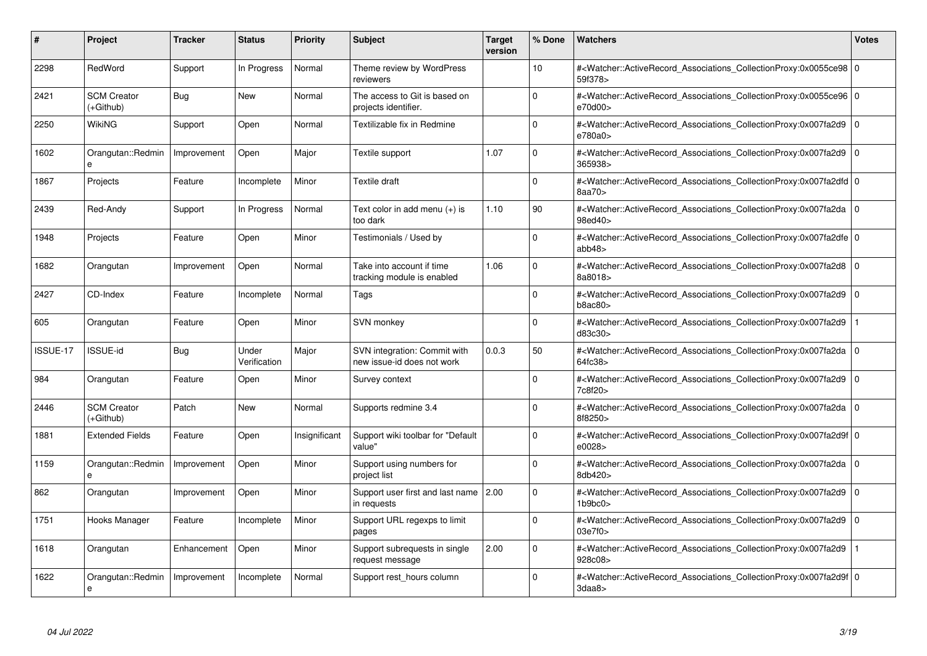| #        | <b>Project</b>                    | <b>Tracker</b> | <b>Status</b>         | <b>Priority</b> | <b>Subject</b>                                             | <b>Target</b><br>version | % Done          | <b>Watchers</b>                                                                                                                                           | <b>Votes</b> |
|----------|-----------------------------------|----------------|-----------------------|-----------------|------------------------------------------------------------|--------------------------|-----------------|-----------------------------------------------------------------------------------------------------------------------------------------------------------|--------------|
| 2298     | RedWord                           | Support        | In Progress           | Normal          | Theme review by WordPress<br>reviewers                     |                          | 10 <sup>1</sup> | # <watcher::activerecord 0<br="" associations="" collectionproxy:0x0055ce98="">59f378&gt;</watcher::activerecord>                                         |              |
| 2421     | <b>SCM Creator</b><br>(+Github)   | <b>Bug</b>     | New                   | Normal          | The access to Git is based on<br>projects identifier.      |                          | $\Omega$        | # <watcher::activerecord 0<br="" associations="" collectionproxy:0x0055ce96=""  ="">e70d00&gt;</watcher::activerecord>                                    |              |
| 2250     | WikiNG                            | Support        | Open                  | Normal          | Textilizable fix in Redmine                                |                          | $\Omega$        | # <watcher::activerecord_associations_collectionproxy:0x007fa2d9<br>e780a0&gt;</watcher::activerecord_associations_collectionproxy:0x007fa2d9<br>         | $\Omega$     |
| 1602     | Orangutan::Redmin<br>$\mathbf{a}$ | Improvement    | Open                  | Major           | Textile support                                            | 1.07                     | $\Omega$        | # <watcher::activerecord_associations_collectionproxy:0x007fa2d9 0<br="">365938&gt;</watcher::activerecord_associations_collectionproxy:0x007fa2d9>       |              |
| 1867     | Projects                          | Feature        | Incomplete            | Minor           | Textile draft                                              |                          | $\Omega$        | # <watcher::activerecord_associations_collectionproxy:0x007fa2dfd 0<br=""  ="">8aa70&gt;</watcher::activerecord_associations_collectionproxy:0x007fa2dfd> |              |
| 2439     | Red-Andy                          | Support        | In Progress           | Normal          | Text color in add menu (+) is<br>too dark                  | 1.10                     | 90              | # <watcher::activerecord_associations_collectionproxy:0x007fa2da 0<br=""  ="">98ed40&gt;</watcher::activerecord_associations_collectionproxy:0x007fa2da>  |              |
| 1948     | Projects                          | Feature        | Open                  | Minor           | Testimonials / Used by                                     |                          | $\Omega$        | # <watcher::activerecord 0<br="" associations="" collectionproxy:0x007fa2dfe=""  ="">abb48</watcher::activerecord>                                        |              |
| 1682     | Orangutan                         | Improvement    | Open                  | Normal          | Take into account if time<br>tracking module is enabled    | 1.06                     | $\Omega$        | # <watcher::activerecord_associations_collectionproxy:0x007fa2d8 0<br=""  ="">8a8018&gt;</watcher::activerecord_associations_collectionproxy:0x007fa2d8>  |              |
| 2427     | CD-Index                          | Feature        | Incomplete            | Normal          | Tags                                                       |                          | $\Omega$        | # <watcher::activerecord associations="" collectionproxy:0x007fa2d9<br="">b8ac80</watcher::activerecord>                                                  | $\Omega$     |
| 605      | Orangutan                         | Feature        | Open                  | Minor           | SVN monkey                                                 |                          | $\Omega$        | # <watcher::activerecord associations="" collectionproxy:0x007fa2d9<br="">d83c30&gt;</watcher::activerecord>                                              |              |
| ISSUE-17 | <b>ISSUE-id</b>                   | Bug            | Under<br>Verification | Major           | SVN integration: Commit with<br>new issue-id does not work | 0.0.3                    | 50              | # <watcher::activerecord_associations_collectionproxy:0x007fa2da 0<br=""  ="">64fc38&gt;</watcher::activerecord_associations_collectionproxy:0x007fa2da>  |              |
| 984      | Orangutan                         | Feature        | Open                  | Minor           | Survey context                                             |                          | $\Omega$        | # <watcher::activerecord associations="" collectionproxy:0x007fa2d9=""  <br="">7c8f20&gt;</watcher::activerecord>                                         | $\mathbf 0$  |
| 2446     | <b>SCM Creator</b><br>(+Github)   | Patch          | New                   | Normal          | Supports redmine 3.4                                       |                          | $\Omega$        | # <watcher::activerecord 0<br="" associations="" collectionproxy:0x007fa2da=""  ="">8f8250&gt;</watcher::activerecord>                                    |              |
| 1881     | <b>Extended Fields</b>            | Feature        | Open                  | Insignificant   | Support wiki toolbar for "Default<br>value"                |                          | $\Omega$        | # <watcher::activerecord_associations_collectionproxy:0x007fa2d9f 0<br=""  ="">e0028&gt;</watcher::activerecord_associations_collectionproxy:0x007fa2d9f> |              |
| 1159     | Orangutan::Redmin                 | Improvement    | Open                  | Minor           | Support using numbers for<br>project list                  |                          | $\Omega$        | # <watcher::activerecord 0<br="" associations="" collectionproxy:0x007fa2da=""  ="">8db420&gt;</watcher::activerecord>                                    |              |
| 862      | Orangutan                         | Improvement    | Open                  | Minor           | Support user first and last name 2.00<br>in requests       |                          | $\Omega$        | # <watcher::activerecord_associations_collectionproxy:0x007fa2d9  <br="">1b9bc0</watcher::activerecord_associations_collectionproxy:0x007fa2d9>           | $\mathbf 0$  |
| 1751     | Hooks Manager                     | Feature        | Incomplete            | Minor           | Support URL regexps to limit<br>pages                      |                          | $\Omega$        | # <watcher::activerecord_associations_collectionproxy:0x007fa2d9  <br="">03e7f0&gt;</watcher::activerecord_associations_collectionproxy:0x007fa2d9>       | $\Omega$     |
| 1618     | Orangutan                         | Enhancement    | Open                  | Minor           | Support subrequests in single<br>request message           | 2.00                     | $\Omega$        | # <watcher::activerecord associations="" collectionproxy:0x007fa2d9<br="">928c08&gt;</watcher::activerecord>                                              |              |
| 1622     | Orangutan::Redmin<br>e            | Improvement    | Incomplete            | Normal          | Support rest hours column                                  |                          | $\Omega$        | # <watcher::activerecord_associations_collectionproxy:0x007fa2d9f 0<br=""  ="">3daa8</watcher::activerecord_associations_collectionproxy:0x007fa2d9f>     |              |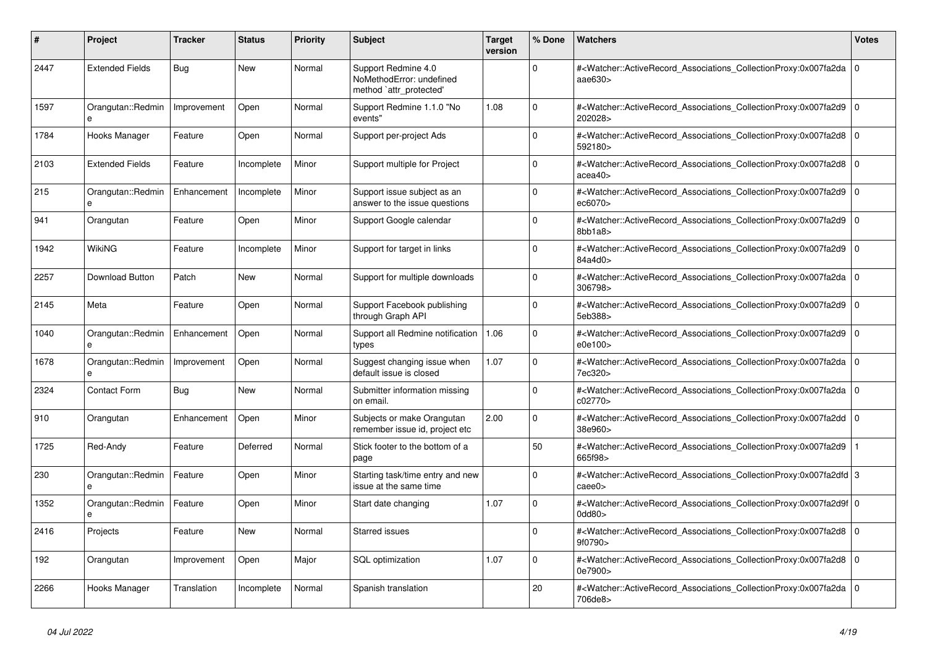| #    | Project                       | <b>Tracker</b> | <b>Status</b> | Priority | <b>Subject</b>                                                             | <b>Target</b><br>version | % Done         | <b>Watchers</b>                                                                                                                                           | <b>Votes</b>   |
|------|-------------------------------|----------------|---------------|----------|----------------------------------------------------------------------------|--------------------------|----------------|-----------------------------------------------------------------------------------------------------------------------------------------------------------|----------------|
| 2447 | <b>Extended Fields</b>        | Bug            | <b>New</b>    | Normal   | Support Redmine 4.0<br>NoMethodError: undefined<br>method `attr_protected' |                          | $\Omega$       | # <watcher::activerecord_associations_collectionproxy:0x007fa2da<br>aae630&gt;</watcher::activerecord_associations_collectionproxy:0x007fa2da<br>         | 0              |
| 1597 | Orangutan::Redmin<br>$\theta$ | Improvement    | Open          | Normal   | Support Redmine 1.1.0 "No<br>events"                                       | 1.08                     | $\Omega$       | # <watcher::activerecord_associations_collectionproxy:0x007fa2d9 0<br=""  ="">202028&gt;</watcher::activerecord_associations_collectionproxy:0x007fa2d9>  |                |
| 1784 | Hooks Manager                 | Feature        | Open          | Normal   | Support per-project Ads                                                    |                          | $\Omega$       | # <watcher::activerecord_associations_collectionproxy:0x007fa2d8<br>592180&gt;</watcher::activerecord_associations_collectionproxy:0x007fa2d8<br>         | l O            |
| 2103 | <b>Extended Fields</b>        | Feature        | Incomplete    | Minor    | Support multiple for Project                                               |                          | $\Omega$       | # <watcher::activerecord associations="" collectionproxy:0x007fa2d8<br="">acea40&gt;</watcher::activerecord>                                              | ۱o             |
| 215  | Orangutan::Redmin<br>e        | Enhancement    | Incomplete    | Minor    | Support issue subject as an<br>answer to the issue questions               |                          | $\Omega$       | # <watcher::activerecord associations="" collectionproxy:0x007fa2d9<br="">ec6070&gt;</watcher::activerecord>                                              | l O            |
| 941  | Orangutan                     | Feature        | Open          | Minor    | Support Google calendar                                                    |                          | $\mathbf 0$    | # <watcher::activerecord associations="" collectionproxy:0x007fa2d9<br="">8bb1a8</watcher::activerecord>                                                  | l o            |
| 1942 | <b>WikiNG</b>                 | Feature        | Incomplete    | Minor    | Support for target in links                                                |                          | $\Omega$       | # <watcher::activerecord_associations_collectionproxy:0x007fa2d9<br>84a4d0&gt;</watcher::activerecord_associations_collectionproxy:0x007fa2d9<br>         | ۱o             |
| 2257 | Download Button               | Patch          | <b>New</b>    | Normal   | Support for multiple downloads                                             |                          | $\Omega$       | # <watcher::activerecord_associations_collectionproxy:0x007fa2da<br>306798&gt;</watcher::activerecord_associations_collectionproxy:0x007fa2da<br>         | l o            |
| 2145 | Meta                          | Feature        | Open          | Normal   | Support Facebook publishing<br>through Graph API                           |                          | $\Omega$       | # <watcher::activerecord associations="" collectionproxy:0x007fa2d9<br="">5eb388&gt;</watcher::activerecord>                                              | ۱o             |
| 1040 | Orangutan::Redmin<br>e        | Enhancement    | Open          | Normal   | Support all Redmine notification<br>types                                  | 1.06                     | $\Omega$       | # <watcher::activerecord associations="" collectionproxy:0x007fa2d9<br="">e0e100&gt;</watcher::activerecord>                                              | ۱o             |
| 1678 | Orangutan::Redmin             | Improvement    | Open          | Normal   | Suggest changing issue when<br>default issue is closed                     | 1.07                     | $\Omega$       | # <watcher::activerecord_associations_collectionproxy:0x007fa2da<br>7ec320&gt;</watcher::activerecord_associations_collectionproxy:0x007fa2da<br>         | l o            |
| 2324 | <b>Contact Form</b>           | <b>Bug</b>     | <b>New</b>    | Normal   | Submitter information missing<br>on email.                                 |                          | $\Omega$       | # <watcher::activerecord associations="" collectionproxy:0x007fa2da<br="">c02770&gt;</watcher::activerecord>                                              | $\overline{0}$ |
| 910  | Orangutan                     | Enhancement    | Open          | Minor    | Subjects or make Orangutan<br>remember issue id, project etc               | 2.00                     | 0              | # <watcher::activerecord_associations_collectionproxy:0x007fa2dd<br>38e960&gt;</watcher::activerecord_associations_collectionproxy:0x007fa2dd<br>         | l O            |
| 1725 | Red-Andy                      | Feature        | Deferred      | Normal   | Stick footer to the bottom of a<br>page                                    |                          | 50             | # <watcher::activerecord_associations_collectionproxy:0x007fa2d9<br>665f98&gt;</watcher::activerecord_associations_collectionproxy:0x007fa2d9<br>         |                |
| 230  | Orangutan::Redmin<br>e        | Feature        | Open          | Minor    | Starting task/time entry and new<br>issue at the same time                 |                          | $\overline{0}$ | # <watcher::activerecord_associations_collectionproxy:0x007fa2dfd 3<br=""  ="">caee0&gt;</watcher::activerecord_associations_collectionproxy:0x007fa2dfd> |                |
| 1352 | Orangutan::Redmin<br>e        | Feature        | Open          | Minor    | Start date changing                                                        | 1.07                     | $\mathbf 0$    | # <watcher::activerecord_associations_collectionproxy:0x007fa2d9f 0<br=""  ="">0dd80&gt;</watcher::activerecord_associations_collectionproxy:0x007fa2d9f> |                |
| 2416 | Projects                      | Feature        | <b>New</b>    | Normal   | Starred issues                                                             |                          | $\Omega$       | # <watcher::activerecord_associations_collectionproxy:0x007fa2d8<br>9f0790&gt;</watcher::activerecord_associations_collectionproxy:0x007fa2d8<br>         | l O            |
| 192  | Orangutan                     | Improvement    | Open          | Major    | SQL optimization                                                           | 1.07                     | $\Omega$       | # <watcher::activerecord associations="" collectionproxy:0x007fa2d8<br="">0e7900&gt;</watcher::activerecord>                                              | 0 I            |
| 2266 | Hooks Manager                 | Translation    | Incomplete    | Normal   | Spanish translation                                                        |                          | 20             | # <watcher::activerecord_associations_collectionproxy:0x007fa2da<br>706de8&gt;</watcher::activerecord_associations_collectionproxy:0x007fa2da<br>         | l o            |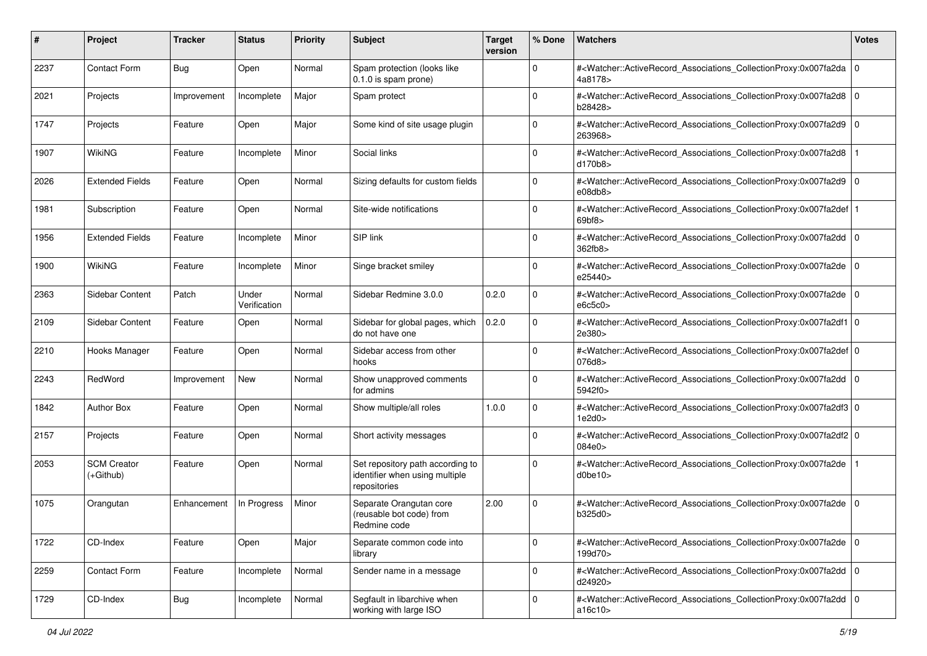| #    | Project                           | <b>Tracker</b> | <b>Status</b>         | <b>Priority</b> | <b>Subject</b>                                                                     | <b>Target</b><br>version | % Done              | Watchers                                                                                                                                                          | <b>Votes</b> |
|------|-----------------------------------|----------------|-----------------------|-----------------|------------------------------------------------------------------------------------|--------------------------|---------------------|-------------------------------------------------------------------------------------------------------------------------------------------------------------------|--------------|
| 2237 | <b>Contact Form</b>               | Bug            | Open                  | Normal          | Spam protection (looks like<br>$0.1.0$ is spam prone)                              |                          | $\mathbf 0$         | # <watcher::activerecord_associations_collectionproxy:0x007fa2da 0<br="">4a8178&gt;</watcher::activerecord_associations_collectionproxy:0x007fa2da>               |              |
| 2021 | Projects                          | Improvement    | Incomplete            | Major           | Spam protect                                                                       |                          | $\Omega$            | # <watcher::activerecord_associations_collectionproxy:0x007fa2d8 0<br=""  ="">b28428&gt;</watcher::activerecord_associations_collectionproxy:0x007fa2d8>          |              |
| 1747 | Projects                          | Feature        | Open                  | Major           | Some kind of site usage plugin                                                     |                          | $\Omega$            | # <watcher::activerecord_associations_collectionproxy:0x007fa2d9 0<br="">263968&gt;</watcher::activerecord_associations_collectionproxy:0x007fa2d9>               |              |
| 1907 | WikiNG                            | Feature        | Incomplete            | Minor           | Social links                                                                       |                          | $\Omega$            | # <watcher::activerecord_associations_collectionproxy:0x007fa2d8<br>d170b8&gt;</watcher::activerecord_associations_collectionproxy:0x007fa2d8<br>                 |              |
| 2026 | <b>Extended Fields</b>            | Feature        | Open                  | Normal          | Sizing defaults for custom fields                                                  |                          | $\mathbf 0$         | # <watcher::activerecord_associations_collectionproxy:0x007fa2d9 0<br=""  ="">e08db8</watcher::activerecord_associations_collectionproxy:0x007fa2d9>              |              |
| 1981 | Subscription                      | Feature        | Open                  | Normal          | Site-wide notifications                                                            |                          | $\Omega$            | # <watcher::activerecord_associations_collectionproxy:0x007fa2def 1<br=""  ="">69bf8</watcher::activerecord_associations_collectionproxy:0x007fa2def>             |              |
| 1956 | <b>Extended Fields</b>            | Feature        | Incomplete            | Minor           | SIP link                                                                           |                          | $\Omega$            | # <watcher::activerecord_associations_collectionproxy:0x007fa2dd 0<br="">362fb8&gt;</watcher::activerecord_associations_collectionproxy:0x007fa2dd>               |              |
| 1900 | WikiNG                            | Feature        | Incomplete            | Minor           | Singe bracket smiley                                                               |                          | $\mathbf 0$         | # <watcher::activerecord_associations_collectionproxy:0x007fa2de 0<br="">e25440&gt;</watcher::activerecord_associations_collectionproxy:0x007fa2de>               |              |
| 2363 | Sidebar Content                   | Patch          | Under<br>Verification | Normal          | Sidebar Redmine 3.0.0                                                              | 0.2.0                    | $\mathbf 0$         | # <watcher::activerecord_associations_collectionproxy:0x007fa2de 0<br="">e6c5c0</watcher::activerecord_associations_collectionproxy:0x007fa2de>                   |              |
| 2109 | Sidebar Content                   | Feature        | Open                  | Normal          | Sidebar for global pages, which<br>do not have one                                 | 0.2.0                    | $\mathbf 0$         | # <watcher::activerecord_associations_collectionproxy:0x007fa2df1 0<br=""  ="">2e380&gt;</watcher::activerecord_associations_collectionproxy:0x007fa2df1>         |              |
| 2210 | Hooks Manager                     | Feature        | Open                  | Normal          | Sidebar access from other<br>hooks                                                 |                          | $\Omega$            | # <watcher::activerecord_associations_collectionproxy:0x007fa2def 0<br=""  ="">076d8&gt;</watcher::activerecord_associations_collectionproxy:0x007fa2def>         |              |
| 2243 | RedWord                           | Improvement    | New                   | Normal          | Show unapproved comments<br>for admins                                             |                          | $\mathbf 0$         | # <watcher::activerecord_associations_collectionproxy:0x007fa2dd 0<br="">5942f0&gt;</watcher::activerecord_associations_collectionproxy:0x007fa2dd>               |              |
| 1842 | <b>Author Box</b>                 | Feature        | Open                  | Normal          | Show multiple/all roles                                                            | 1.0.0                    | $\Omega$            | # <watcher::activerecord_associations_collectionproxy:0x007fa2df3 0<br="">1e2d0</watcher::activerecord_associations_collectionproxy:0x007fa2df3>                  |              |
| 2157 | Projects                          | Feature        | Open                  | Normal          | Short activity messages                                                            |                          | $\Omega$            | # <watcher::activerecord_associations_collectionproxy:0x007fa2df2 0<br="">084e0&gt;</watcher::activerecord_associations_collectionproxy:0x007fa2df2>              |              |
| 2053 | <b>SCM Creator</b><br>$(+Github)$ | Feature        | Open                  | Normal          | Set repository path according to<br>identifier when using multiple<br>repositories |                          | $\mathbf 0$         | # <watcher::activerecord_associations_collectionproxy:0x007fa2de<br>d0be10&gt;</watcher::activerecord_associations_collectionproxy:0x007fa2de<br>                 |              |
| 1075 | Orangutan                         | Enhancement    | In Progress           | Minor           | Separate Orangutan core<br>(reusable bot code) from<br>Redmine code                | 2.00                     | $\Omega$            | # <watcher::activerecord_associations_collectionproxy:0x007fa2de 0<br="">b325d0&gt;</watcher::activerecord_associations_collectionproxy:0x007fa2de>               |              |
| 1722 | CD-Index                          | Feature        | Open                  | Major           | Separate common code into<br>library                                               |                          | 0                   | # <watcher::activerecord_associations_collectionproxy:0x007fa2de 0<br=""  ="">199d70&gt;</watcher::activerecord_associations_collectionproxy:0x007fa2de>          |              |
| 2259 | <b>Contact Form</b>               | Feature        | Incomplete            | Normal          | Sender name in a message                                                           |                          | $\mathsf{O}\xspace$ | # <watcher::activerecord_associations_collectionproxy:0x007fa2dd 0<br="">d24920&gt;</watcher::activerecord_associations_collectionproxy:0x007fa2dd>               |              |
| 1729 | CD-Index                          | Bug            | Incomplete            | Normal          | Segfault in libarchive when<br>working with large ISO                              |                          | $\mathbf 0$         | # <watcher::activerecord_associations_collectionproxy:0x007fa2dd 0<br=""  ="">a16<math>c10</math></watcher::activerecord_associations_collectionproxy:0x007fa2dd> |              |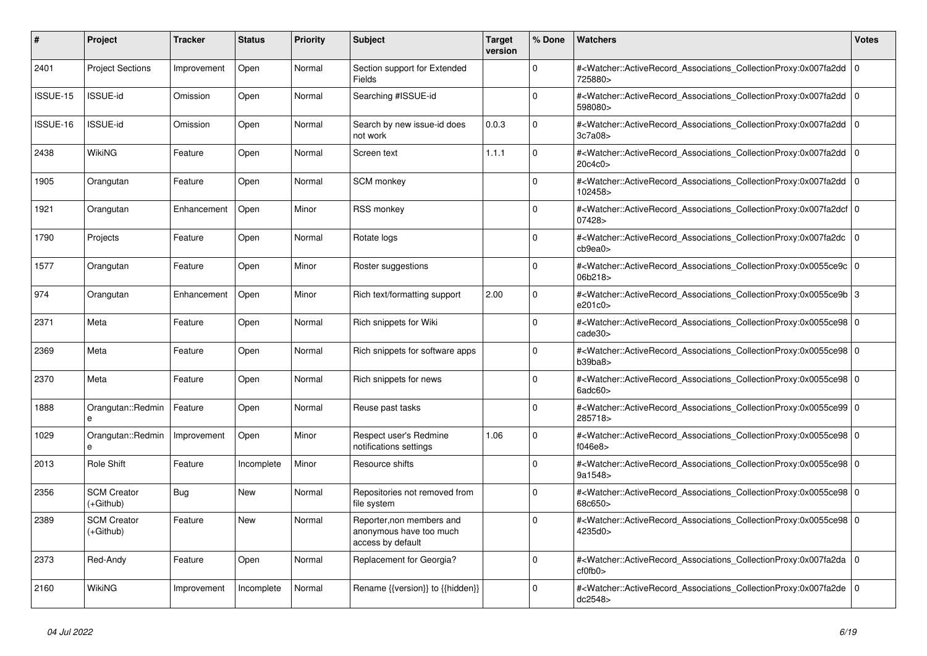| #               | <b>Project</b>                    | <b>Tracker</b> | <b>Status</b> | <b>Priority</b> | <b>Subject</b>                                                            | <b>Target</b><br>version | % Done      | <b>Watchers</b>                                                                                                                                                     | <b>Votes</b>   |
|-----------------|-----------------------------------|----------------|---------------|-----------------|---------------------------------------------------------------------------|--------------------------|-------------|---------------------------------------------------------------------------------------------------------------------------------------------------------------------|----------------|
| 2401            | <b>Project Sections</b>           | Improvement    | Open          | Normal          | Section support for Extended<br><b>Fields</b>                             |                          | $\Omega$    | # <watcher::activerecord associations="" collectionproxy:0x007fa2dd<br="">725880&gt;</watcher::activerecord>                                                        | l o            |
| ISSUE-15        | <b>ISSUE-id</b>                   | Omission       | Open          | Normal          | Searching #ISSUE-id                                                       |                          | $\Omega$    | # <watcher::activerecord 0<br="" associations="" collectionproxy:0x007fa2dd=""  ="">598080&gt;</watcher::activerecord>                                              |                |
| <b>ISSUE-16</b> | <b>ISSUE-id</b>                   | Omission       | Open          | Normal          | Search by new issue-id does<br>not work                                   | 0.0.3                    | $\Omega$    | # <watcher::activerecord_associations_collectionproxy:0x007fa2dd 0<br="">3c7a08</watcher::activerecord_associations_collectionproxy:0x007fa2dd>                     |                |
| 2438            | WikiNG                            | Feature        | Open          | Normal          | Screen text                                                               | 1.1.1                    | $\Omega$    | # <watcher::activerecord associations="" collectionproxy:0x007fa2dd<br="">20c4c0&gt;</watcher::activerecord>                                                        | $\Omega$       |
| 1905            | Orangutan                         | Feature        | Open          | Normal          | <b>SCM</b> monkey                                                         |                          | $\mathbf 0$ | # <watcher::activerecord_associations_collectionproxy:0x007fa2dd 0<br=""  ="">102458&gt;</watcher::activerecord_associations_collectionproxy:0x007fa2dd>            |                |
| 1921            | Orangutan                         | Enhancement    | Open          | Minor           | <b>RSS monkey</b>                                                         |                          | $\Omega$    | # <watcher::activerecord 0<br="" associations="" collectionproxy:0x007fa2dcf=""  ="">07428&gt;</watcher::activerecord>                                              |                |
| 1790            | Projects                          | Feature        | Open          | Normal          | Rotate logs                                                               |                          | $\Omega$    | # <watcher::activerecord_associations_collectionproxy:0x007fa2dc<br>cb9ea0&gt;</watcher::activerecord_associations_collectionproxy:0x007fa2dc<br>                   | $\Omega$       |
| 1577            | Orangutan                         | Feature        | Open          | Minor           | Roster suggestions                                                        |                          | $\Omega$    | # <watcher::activerecord_associations_collectionproxy:0x0055ce9c 0<br=""  ="">06b218&gt;</watcher::activerecord_associations_collectionproxy:0x0055ce9c>            |                |
| 974             | Orangutan                         | Enhancement    | Open          | Minor           | Rich text/formatting support                                              | 2.00                     | $\mathbf 0$ | # <watcher::activerecord 3<br="" associations="" collectionproxy:0x0055ce9b="">e201c0&gt;</watcher::activerecord>                                                   |                |
| 2371            | Meta                              | Feature        | Open          | Normal          | Rich snippets for Wiki                                                    |                          | $\Omega$    | # <watcher::activerecord_associations_collectionproxy:0x0055ce98 0<br=""  ="">cade30<sub>&gt;</sub></watcher::activerecord_associations_collectionproxy:0x0055ce98> |                |
| 2369            | Meta                              | Feature        | Open          | Normal          | Rich snippets for software apps                                           |                          | $\Omega$    | # <watcher::activerecord_associations_collectionproxy:0x0055ce98 0<br=""  ="">b39ba8</watcher::activerecord_associations_collectionproxy:0x0055ce98>                |                |
| 2370            | Meta                              | Feature        | Open          | Normal          | Rich snippets for news                                                    |                          | $\Omega$    | # <watcher::activerecord_associations_collectionproxy:0x0055ce98 0<br=""  ="">6adc60&gt;</watcher::activerecord_associations_collectionproxy:0x0055ce98>            |                |
| 1888            | Orangutan::Redmin<br>e            | Feature        | Open          | Normal          | Reuse past tasks                                                          |                          | $\Omega$    | # <watcher::activerecord_associations_collectionproxy:0x0055ce99 0<br=""  ="">285718&gt;</watcher::activerecord_associations_collectionproxy:0x0055ce99>            |                |
| 1029            | Orangutan::Redmin<br>e            | Improvement    | Open          | Minor           | Respect user's Redmine<br>notifications settings                          | 1.06                     | $\Omega$    | # <watcher::activerecord 0<br="" associations="" collectionproxy:0x0055ce98=""  ="">f046e8</watcher::activerecord>                                                  |                |
| 2013            | Role Shift                        | Feature        | Incomplete    | Minor           | Resource shifts                                                           |                          | $\Omega$    | # <watcher::activerecord_associations_collectionproxy:0x0055ce98 0<br=""  ="">9a1548&gt;</watcher::activerecord_associations_collectionproxy:0x0055ce98>            |                |
| 2356            | <b>SCM Creator</b><br>$(+Github)$ | Bug            | New           | Normal          | Repositories not removed from<br>file system                              |                          | $\Omega$    | # <watcher::activerecord 0<br="" associations="" collectionproxy:0x0055ce98=""  ="">68c650&gt;</watcher::activerecord>                                              |                |
| 2389            | <b>SCM Creator</b><br>(+Github)   | Feature        | New           | Normal          | Reporter, non members and<br>anonymous have too much<br>access by default |                          | $\mathbf 0$ | # <watcher::activerecord 0<br="" associations="" collectionproxy:0x0055ce98=""  ="">4235d0&gt;</watcher::activerecord>                                              |                |
| 2373            | Red-Andy                          | Feature        | Open          | Normal          | Replacement for Georgia?                                                  |                          | $\Omega$    | # <watcher::activerecord_associations_collectionproxy:0x007fa2da 0<br=""  ="">cf0fb0&gt;</watcher::activerecord_associations_collectionproxy:0x007fa2da>            |                |
| 2160            | WikiNG                            | Improvement    | Incomplete    | Normal          | Rename {{version}} to {{hidden}}                                          |                          | $\Omega$    | # <watcher::activerecord associations="" collectionproxy:0x007fa2de<br="">dc2548&gt;</watcher::activerecord>                                                        | $\overline{0}$ |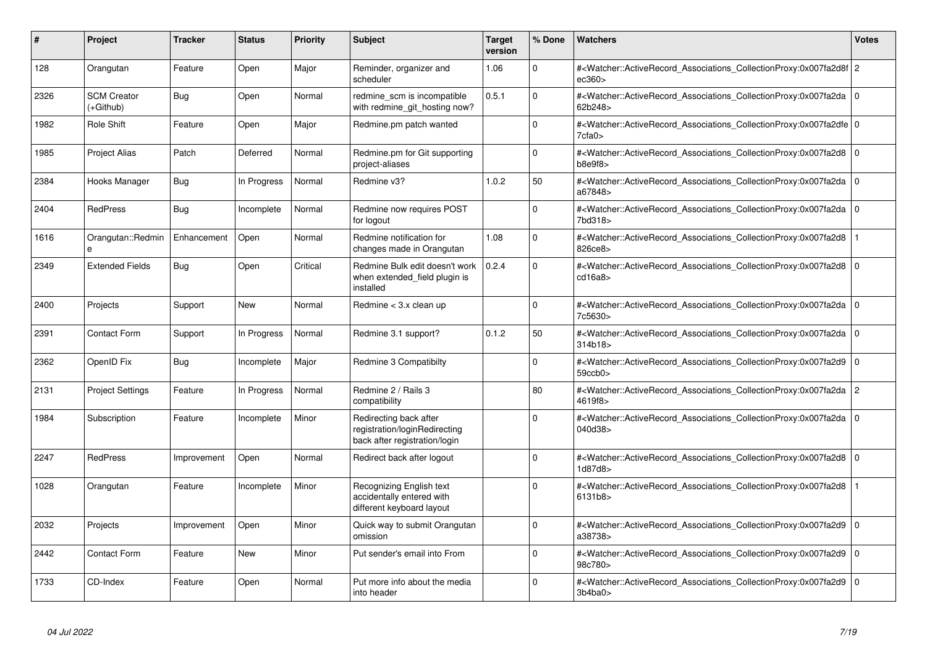| #    | Project                         | <b>Tracker</b> | <b>Status</b> | <b>Priority</b> | <b>Subject</b>                                                                           | <b>Target</b><br>version | % Done      | Watchers                                                                                                                                                                | <b>Votes</b>   |
|------|---------------------------------|----------------|---------------|-----------------|------------------------------------------------------------------------------------------|--------------------------|-------------|-------------------------------------------------------------------------------------------------------------------------------------------------------------------------|----------------|
| 128  | Orangutan                       | Feature        | Open          | Major           | Reminder, organizer and<br>scheduler                                                     | 1.06                     | $\Omega$    | # <watcher::activerecord_associations_collectionproxy:0x007fa2d8f 2<br="">ec360&gt;</watcher::activerecord_associations_collectionproxy:0x007fa2d8f>                    |                |
| 2326 | <b>SCM Creator</b><br>(+Github) | <b>Bug</b>     | Open          | Normal          | redmine_scm is incompatible<br>with redmine git hosting now?                             | 0.5.1                    | $\Omega$    | # <watcher::activerecord_associations_collectionproxy:0x007fa2da 0<br=""  ="">62b248&gt;</watcher::activerecord_associations_collectionproxy:0x007fa2da>                |                |
| 1982 | Role Shift                      | Feature        | Open          | Major           | Redmine.pm patch wanted                                                                  |                          | $\Omega$    | # <watcher::activerecord_associations_collectionproxy:0x007fa2dfe 0<br=""  ="">7cfa0</watcher::activerecord_associations_collectionproxy:0x007fa2dfe>                   |                |
| 1985 | Project Alias                   | Patch          | Deferred      | Normal          | Redmine.pm for Git supporting<br>project-aliases                                         |                          | $\Omega$    | # <watcher::activerecord associations="" collectionproxy:0x007fa2d8<br="">b8e9f8</watcher::activerecord>                                                                | l O            |
| 2384 | Hooks Manager                   | <b>Bug</b>     | In Progress   | Normal          | Redmine v3?                                                                              | 1.0.2                    | 50          | # <watcher::activerecord associations="" collectionproxy:0x007fa2da<br="">a67848&gt;</watcher::activerecord>                                                            | l O            |
| 2404 | <b>RedPress</b>                 | Bug            | Incomplete    | Normal          | Redmine now requires POST<br>for logout                                                  |                          | $\Omega$    | # <watcher::activerecord associations="" collectionproxy:0x007fa2da<br="">7bd318&gt;</watcher::activerecord>                                                            | $\overline{0}$ |
| 1616 | Orangutan::Redmin               | Enhancement    | Open          | Normal          | Redmine notification for<br>changes made in Orangutan                                    | 1.08                     | $\Omega$    | # <watcher::activerecord_associations_collectionproxy:0x007fa2d8<br>826ce8&gt;</watcher::activerecord_associations_collectionproxy:0x007fa2d8<br>                       |                |
| 2349 | <b>Extended Fields</b>          | Bug            | Open          | Critical        | Redmine Bulk edit doesn't work<br>when extended field plugin is<br>installed             | 0.2.4                    | $\Omega$    | # <watcher::activerecord associations="" collectionproxy:0x007fa2d8<br="">cd16a8</watcher::activerecord>                                                                | 0              |
| 2400 | Projects                        | Support        | New           | Normal          | Redmine < 3.x clean up                                                                   |                          | $\Omega$    | # <watcher::activerecord_associations_collectionproxy:0x007fa2da 0<br=""  ="">7c5630&gt;</watcher::activerecord_associations_collectionproxy:0x007fa2da>                |                |
| 2391 | <b>Contact Form</b>             | Support        | In Progress   | Normal          | Redmine 3.1 support?                                                                     | 0.1.2                    | 50          | # <watcher::activerecord associations="" collectionproxy:0x007fa2da<br="">314b18</watcher::activerecord>                                                                | l O            |
| 2362 | OpenID Fix                      | <b>Bug</b>     | Incomplete    | Major           | Redmine 3 Compatibilty                                                                   |                          | $\Omega$    | # <watcher::activerecord_associations_collectionproxy:0x007fa2d9<br><math>59</math>ccb<math>0</math></watcher::activerecord_associations_collectionproxy:0x007fa2d9<br> | ۱o             |
| 2131 | <b>Project Settings</b>         | Feature        | In Progress   | Normal          | Redmine 2 / Rails 3<br>compatibility                                                     |                          | 80          | # <watcher::activerecord_associations_collectionproxy:0x007fa2da<br>4619f8&gt;</watcher::activerecord_associations_collectionproxy:0x007fa2da<br>                       | l 2            |
| 1984 | Subscription                    | Feature        | Incomplete    | Minor           | Redirecting back after<br>registration/loginRedirecting<br>back after registration/login |                          | $\Omega$    | # <watcher::activerecord_associations_collectionproxy:0x007fa2da<br>040d38&gt;</watcher::activerecord_associations_collectionproxy:0x007fa2da<br>                       | 0              |
| 2247 | <b>RedPress</b>                 | Improvement    | Open          | Normal          | Redirect back after logout                                                               |                          | 0           | # <watcher::activerecord_associations_collectionproxy:0x007fa2d8<br>1d87d8&gt;</watcher::activerecord_associations_collectionproxy:0x007fa2d8<br>                       | 0              |
| 1028 | Orangutan                       | Feature        | Incomplete    | Minor           | Recognizing English text<br>accidentally entered with<br>different keyboard layout       |                          | $\mathbf 0$ | # <watcher::activerecord_associations_collectionproxy:0x007fa2d8<br>6131b8&gt;</watcher::activerecord_associations_collectionproxy:0x007fa2d8<br>                       |                |
| 2032 | Projects                        | Improvement    | Open          | Minor           | Quick way to submit Orangutan<br>omission                                                |                          | $\Omega$    | # <watcher::activerecord_associations_collectionproxy:0x007fa2d9 0<br=""  ="">a38738&gt;</watcher::activerecord_associations_collectionproxy:0x007fa2d9>                |                |
| 2442 | <b>Contact Form</b>             | Feature        | New           | Minor           | Put sender's email into From                                                             |                          | $\mathbf 0$ | # <watcher::activerecord_associations_collectionproxy:0x007fa2d9<br>98c780&gt;</watcher::activerecord_associations_collectionproxy:0x007fa2d9<br>                       | l o            |
| 1733 | CD-Index                        | Feature        | Open          | Normal          | Put more info about the media<br>into header                                             |                          | $\Omega$    | # <watcher::activerecord associations="" collectionproxy:0x007fa2d9<br="">3b4ba0&gt;</watcher::activerecord>                                                            | l O            |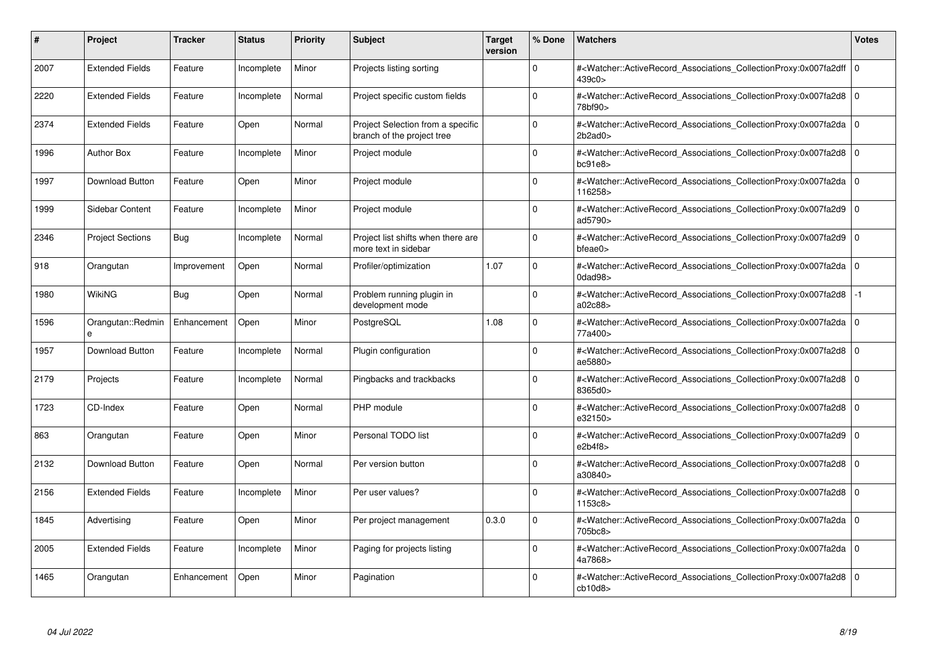| #    | Project                 | <b>Tracker</b> | <b>Status</b> | <b>Priority</b> | <b>Subject</b>                                                  | <b>Target</b><br>version | % Done   | <b>Watchers</b>                                                                                                                                           | <b>Votes</b> |
|------|-------------------------|----------------|---------------|-----------------|-----------------------------------------------------------------|--------------------------|----------|-----------------------------------------------------------------------------------------------------------------------------------------------------------|--------------|
| 2007 | <b>Extended Fields</b>  | Feature        | Incomplete    | Minor           | Projects listing sorting                                        |                          | $\Omega$ | # <watcher::activerecord_associations_collectionproxy:0x007fa2dff 0<br=""  ="">439c0&gt;</watcher::activerecord_associations_collectionproxy:0x007fa2dff> |              |
| 2220 | <b>Extended Fields</b>  | Feature        | Incomplete    | Normal          | Project specific custom fields                                  |                          | $\Omega$ | # <watcher::activerecord 0<br="" associations="" collectionproxy:0x007fa2d8=""  ="">78bf90&gt;</watcher::activerecord>                                    |              |
| 2374 | <b>Extended Fields</b>  | Feature        | Open          | Normal          | Project Selection from a specific<br>branch of the project tree |                          | $\Omega$ | # <watcher::activerecord_associations_collectionproxy:0x007fa2da<br>2b2ad0</watcher::activerecord_associations_collectionproxy:0x007fa2da<br>             | $\mathbf 0$  |
| 1996 | <b>Author Box</b>       | Feature        | Incomplete    | Minor           | Project module                                                  |                          | $\Omega$ | # <watcher::activerecord_associations_collectionproxy:0x007fa2d8 0<br=""  ="">bc91e8</watcher::activerecord_associations_collectionproxy:0x007fa2d8>      |              |
| 1997 | <b>Download Button</b>  | Feature        | Open          | Minor           | Project module                                                  |                          | $\Omega$ | # <watcher::activerecord 0<br="" associations="" collectionproxy:0x007fa2da=""  ="">116258&gt;</watcher::activerecord>                                    |              |
| 1999 | Sidebar Content         | Feature        | Incomplete    | Minor           | Project module                                                  |                          | $\Omega$ | # <watcher::activerecord associations="" collectionproxy:0x007fa2d9<br="">ad5790&gt;</watcher::activerecord>                                              | $\Omega$     |
| 2346 | <b>Project Sections</b> | Bug            | Incomplete    | Normal          | Project list shifts when there are<br>more text in sidebar      |                          | $\Omega$ | # <watcher::activerecord_associations_collectionproxy:0x007fa2d9  <br="">bfeae0</watcher::activerecord_associations_collectionproxy:0x007fa2d9>           | $\mathbf 0$  |
| 918  | Orangutan               | Improvement    | Open          | Normal          | Profiler/optimization                                           | 1.07                     | $\Omega$ | # <watcher::activerecord_associations_collectionproxy:0x007fa2da 0<br=""  ="">0dad98&gt;</watcher::activerecord_associations_collectionproxy:0x007fa2da>  |              |
| 1980 | WikiNG                  | Bug            | Open          | Normal          | Problem running plugin in<br>development mode                   |                          | $\Omega$ | # <watcher::activerecord associations="" collectionproxy:0x007fa2d8<br="">a02c88&gt;</watcher::activerecord>                                              | $-1$         |
| 1596 | Orangutan::Redmin<br>e  | Enhancement    | Open          | Minor           | PostgreSQL                                                      | 1.08                     | $\Omega$ | # <watcher::activerecord 0<br="" associations="" collectionproxy:0x007fa2da=""  ="">77a400&gt;</watcher::activerecord>                                    |              |
| 1957 | Download Button         | Feature        | Incomplete    | Normal          | Plugin configuration                                            |                          | $\Omega$ | # <watcher::activerecord_associations_collectionproxy:0x007fa2d8 0<br=""  ="">ae5880&gt;</watcher::activerecord_associations_collectionproxy:0x007fa2d8>  |              |
| 2179 | Projects                | Feature        | Incomplete    | Normal          | Pingbacks and trackbacks                                        |                          | $\Omega$ | # <watcher::activerecord_associations_collectionproxy:0x007fa2d8 0<br=""  ="">8365d0&gt;</watcher::activerecord_associations_collectionproxy:0x007fa2d8>  |              |
| 1723 | CD-Index                | Feature        | Open          | Normal          | PHP module                                                      |                          | $\Omega$ | # <watcher::activerecord 0<br="" associations="" collectionproxy:0x007fa2d8=""  ="">e32150&gt;</watcher::activerecord>                                    |              |
| 863  | Orangutan               | Feature        | Open          | Minor           | Personal TODO list                                              |                          | $\Omega$ | # <watcher::activerecord_associations_collectionproxy:0x007fa2d9<br>e2b4f8</watcher::activerecord_associations_collectionproxy:0x007fa2d9<br>             | $\mathbf 0$  |
| 2132 | Download Button         | Feature        | Open          | Normal          | Per version button                                              |                          | $\Omega$ | # <watcher::activerecord 0<br="" associations="" collectionproxy:0x007fa2d8=""  ="">a30840&gt;</watcher::activerecord>                                    |              |
| 2156 | <b>Extended Fields</b>  | Feature        | Incomplete    | Minor           | Per user values?                                                |                          | $\Omega$ | # <watcher::activerecord associations="" collectionproxy:0x007fa2d8<br="">1153c8</watcher::activerecord>                                                  | $\mathbf 0$  |
| 1845 | Advertising             | Feature        | Open          | Minor           | Per project management                                          | 0.3.0                    | $\Omega$ | # <watcher::activerecord 0<br="" associations="" collectionproxy:0x007fa2da=""  ="">705bc8&gt;</watcher::activerecord>                                    |              |
| 2005 | <b>Extended Fields</b>  | Feature        | Incomplete    | Minor           | Paging for projects listing                                     |                          | $\Omega$ | # <watcher::activerecord associations="" collectionproxy:0x007fa2da=""  <br="">4a7868&gt;</watcher::activerecord>                                         | $\mathbf 0$  |
| 1465 | Orangutan               | Enhancement    | Open          | Minor           | Pagination                                                      |                          | $\Omega$ | # <watcher::activerecord_associations_collectionproxy:0x007fa2d8 0<br=""  ="">cb10d8</watcher::activerecord_associations_collectionproxy:0x007fa2d8>      |              |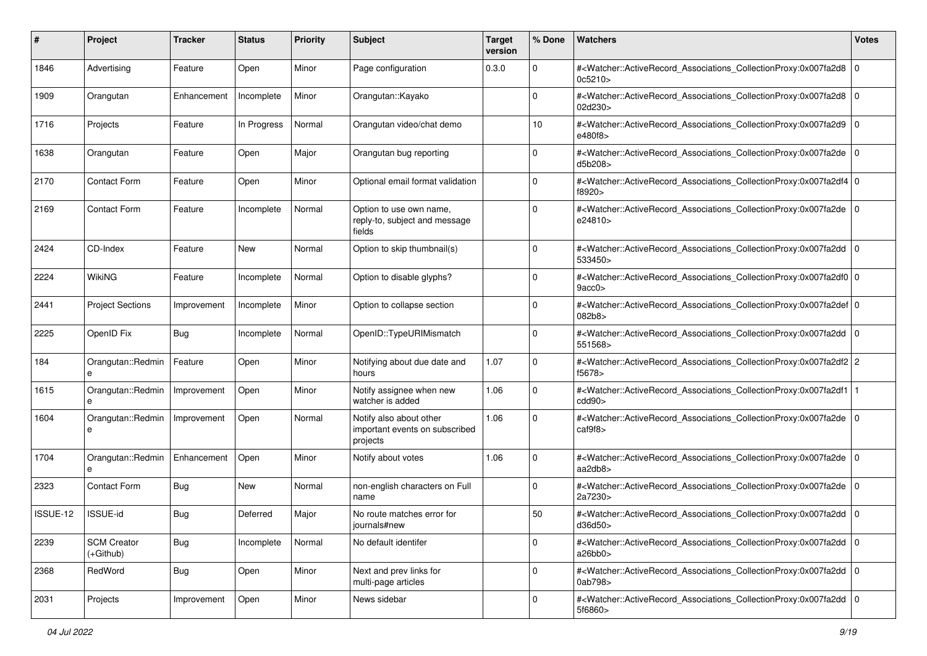| #        | Project                         | <b>Tracker</b> | <b>Status</b> | <b>Priority</b> | <b>Subject</b>                                                        | <b>Target</b><br>version | % Done      | Watchers                                                                                                                                                 | <b>Votes</b> |
|----------|---------------------------------|----------------|---------------|-----------------|-----------------------------------------------------------------------|--------------------------|-------------|----------------------------------------------------------------------------------------------------------------------------------------------------------|--------------|
| 1846     | Advertising                     | Feature        | Open          | Minor           | Page configuration                                                    | 0.3.0                    | 0           | # <watcher::activerecord_associations_collectionproxy:0x007fa2d8<br>0c5210&gt;</watcher::activerecord_associations_collectionproxy:0x007fa2d8<br>        | l O          |
| 1909     | Orangutan                       | Enhancement    | Incomplete    | Minor           | Orangutan::Kayako                                                     |                          | $\Omega$    | # <watcher::activerecord_associations_collectionproxy:0x007fa2d8<br>02d230&gt;</watcher::activerecord_associations_collectionproxy:0x007fa2d8<br>        | l O          |
| 1716     | Projects                        | Feature        | In Progress   | Normal          | Orangutan video/chat demo                                             |                          | 10          | # <watcher::activerecord_associations_collectionproxy:0x007fa2d9 0<br=""  ="">e480f8&gt;</watcher::activerecord_associations_collectionproxy:0x007fa2d9> |              |
| 1638     | Orangutan                       | Feature        | Open          | Major           | Orangutan bug reporting                                               |                          | 0           | # <watcher::activerecord_associations_collectionproxy:0x007fa2de 0<br="">d5b208&gt;</watcher::activerecord_associations_collectionproxy:0x007fa2de>      |              |
| 2170     | <b>Contact Form</b>             | Feature        | Open          | Minor           | Optional email format validation                                      |                          | $\Omega$    | # <watcher::activerecord_associations_collectionproxy:0x007fa2df4 0<br="">f8920&gt;</watcher::activerecord_associations_collectionproxy:0x007fa2df4>     |              |
| 2169     | Contact Form                    | Feature        | Incomplete    | Normal          | Option to use own name,<br>reply-to, subject and message<br>fields    |                          | $\Omega$    | # <watcher::activerecord_associations_collectionproxy:0x007fa2de 0<br=""  ="">e24810&gt;</watcher::activerecord_associations_collectionproxy:0x007fa2de> |              |
| 2424     | CD-Index                        | Feature        | <b>New</b>    | Normal          | Option to skip thumbnail(s)                                           |                          | $\Omega$    | # <watcher::activerecord_associations_collectionproxy:0x007fa2dd 0<br=""  ="">533450&gt;</watcher::activerecord_associations_collectionproxy:0x007fa2dd> |              |
| 2224     | <b>WikiNG</b>                   | Feature        | Incomplete    | Normal          | Option to disable glyphs?                                             |                          | $\Omega$    | # <watcher::activerecord_associations_collectionproxy:0x007fa2df0 0<br=""  ="">9acc0</watcher::activerecord_associations_collectionproxy:0x007fa2df0>    |              |
| 2441     | <b>Project Sections</b>         | Improvement    | Incomplete    | Minor           | Option to collapse section                                            |                          | $\mathbf 0$ | # <watcher::activerecord_associations_collectionproxy:0x007fa2def 0<br="">082b8&gt;</watcher::activerecord_associations_collectionproxy:0x007fa2def>     |              |
| 2225     | OpenID Fix                      | <b>Bug</b>     | Incomplete    | Normal          | OpenID::TypeURIMismatch                                               |                          | $\Omega$    | # <watcher::activerecord_associations_collectionproxy:0x007fa2dd 0<br=""  ="">551568&gt;</watcher::activerecord_associations_collectionproxy:0x007fa2dd> |              |
| 184      | Orangutan::Redmin<br>е          | Feature        | Open          | Minor           | Notifying about due date and<br>hours                                 | 1.07                     | 0           | # <watcher::activerecord_associations_collectionproxy:0x007fa2df2 2<br="">f5678&gt;</watcher::activerecord_associations_collectionproxy:0x007fa2df2>     |              |
| 1615     | Orangutan::Redmin<br>e          | Improvement    | Open          | Minor           | Notify assignee when new<br>watcher is added                          | 1.06                     | $\mathbf 0$ | # <watcher::activerecord_associations_collectionproxy:0x007fa2df1<br>cdd90&gt;</watcher::activerecord_associations_collectionproxy:0x007fa2df1<br>       |              |
| 1604     | Orangutan::Redmin<br>e          | Improvement    | Open          | Normal          | Notify also about other<br>important events on subscribed<br>projects | 1.06                     | $\Omega$    | # <watcher::activerecord_associations_collectionproxy:0x007fa2de 0<br=""  ="">caf9f8&gt;</watcher::activerecord_associations_collectionproxy:0x007fa2de> |              |
| 1704     | Orangutan::Redmin<br>e          | Enhancement    | Open          | Minor           | Notify about votes                                                    | 1.06                     | $\mathbf 0$ | # <watcher::activerecord_associations_collectionproxy:0x007fa2de 0<br=""  ="">aa2db8&gt;</watcher::activerecord_associations_collectionproxy:0x007fa2de> |              |
| 2323     | Contact Form                    | <b>Bug</b>     | New           | Normal          | non-english characters on Full<br>name                                |                          | $\Omega$    | # <watcher::activerecord_associations_collectionproxy:0x007fa2de<br>2a7230&gt;</watcher::activerecord_associations_collectionproxy:0x007fa2de<br>        | l O          |
| ISSUE-12 | <b>ISSUE-id</b>                 | <b>Bug</b>     | Deferred      | Major           | No route matches error for<br>journals#new                            |                          | 50          | # <watcher::activerecord_associations_collectionproxy:0x007fa2dd 0<br=""  ="">d36d50&gt;</watcher::activerecord_associations_collectionproxy:0x007fa2dd> |              |
| 2239     | <b>SCM Creator</b><br>(+Github) | Bug            | Incomplete    | Normal          | No default identifer                                                  |                          | $\mathbf 0$ | # <watcher::activerecord 0<br="" associations="" collectionproxy:0x007fa2dd="">a26bb0</watcher::activerecord>                                            |              |
| 2368     | RedWord                         | <b>Bug</b>     | Open          | Minor           | Next and prev links for<br>multi-page articles                        |                          | $\mathbf 0$ | # <watcher::activerecord_associations_collectionproxy:0x007fa2dd 0<br="">0ab798&gt;</watcher::activerecord_associations_collectionproxy:0x007fa2dd>      |              |
| 2031     | Projects                        | Improvement    | Open          | Minor           | News sidebar                                                          |                          | $\Omega$    | # <watcher::activerecord_associations_collectionproxy:0x007fa2dd 0<br=""  ="">5f6860&gt;</watcher::activerecord_associations_collectionproxy:0x007fa2dd> |              |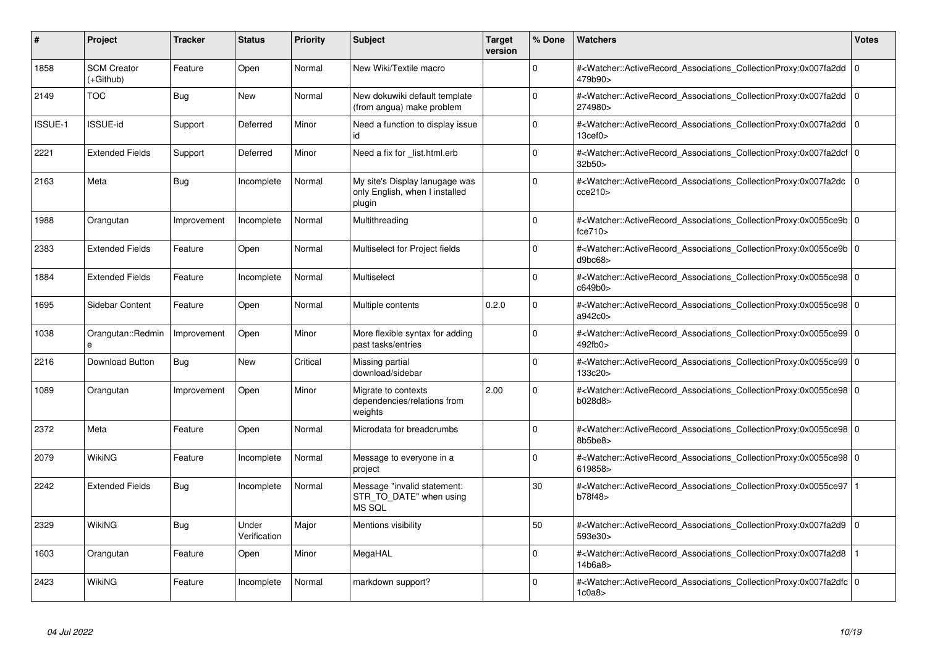| #       | Project                           | <b>Tracker</b> | <b>Status</b>         | <b>Priority</b> | <b>Subject</b>                                                             | <b>Target</b><br>version | % Done      | Watchers                                                                                                                                                 | <b>Votes</b> |
|---------|-----------------------------------|----------------|-----------------------|-----------------|----------------------------------------------------------------------------|--------------------------|-------------|----------------------------------------------------------------------------------------------------------------------------------------------------------|--------------|
| 1858    | <b>SCM Creator</b><br>$(+Github)$ | Feature        | Open                  | Normal          | New Wiki/Textile macro                                                     |                          | $\Omega$    | # <watcher::activerecord associations="" collectionproxy:0x007fa2dd<br="">479b90&gt;</watcher::activerecord>                                             | 0            |
| 2149    | <b>TOC</b>                        | <b>Bug</b>     | <b>New</b>            | Normal          | New dokuwiki default template<br>(from angua) make problem                 |                          | $\Omega$    | # <watcher::activerecord_associations_collectionproxy:0x007fa2dd<br>274980&gt;</watcher::activerecord_associations_collectionproxy:0x007fa2dd<br>        | 10           |
| ISSUE-1 | <b>ISSUE-id</b>                   | Support        | Deferred              | Minor           | Need a function to display issue<br>id                                     |                          | $\Omega$    | # <watcher::activerecord_associations_collectionproxy:0x007fa2dd<br>13<sub>cef0</sub></watcher::activerecord_associations_collectionproxy:0x007fa2dd<br> | l O          |
| 2221    | <b>Extended Fields</b>            | Support        | Deferred              | Minor           | Need a fix for _list.html.erb                                              |                          | $\Omega$    | # <watcher::activerecord_associations_collectionproxy:0x007fa2dcf 0<br=""  ="">32b50</watcher::activerecord_associations_collectionproxy:0x007fa2dcf>    |              |
| 2163    | Meta                              | <b>Bug</b>     | Incomplete            | Normal          | My site's Display lanugage was<br>only English, when I installed<br>plugin |                          | $\Omega$    | # <watcher::activerecord associations="" collectionproxy:0x007fa2dc<br="">cce210</watcher::activerecord>                                                 | l 0          |
| 1988    | Orangutan                         | Improvement    | Incomplete            | Normal          | Multithreading                                                             |                          | $\Omega$    | # <watcher::activerecord_associations_collectionproxy:0x0055ce9b 0<br=""  ="">fce710</watcher::activerecord_associations_collectionproxy:0x0055ce9b>     |              |
| 2383    | <b>Extended Fields</b>            | Feature        | Open                  | Normal          | Multiselect for Project fields                                             |                          | $\Omega$    | # <watcher::activerecord 0<br="" associations="" collectionproxy:0x0055ce9b=""  ="">d9bc68&gt;</watcher::activerecord>                                   |              |
| 1884    | <b>Extended Fields</b>            | Feature        | Incomplete            | Normal          | Multiselect                                                                |                          | $\Omega$    | # <watcher::activerecord 0<br="" associations="" collectionproxy:0x0055ce98=""  ="">c649b0&gt;</watcher::activerecord>                                   |              |
| 1695    | Sidebar Content                   | Feature        | Open                  | Normal          | Multiple contents                                                          | 0.2.0                    | $\Omega$    | # <watcher::activerecord_associations_collectionproxy:0x0055ce98 0<br=""  ="">a942c0&gt;</watcher::activerecord_associations_collectionproxy:0x0055ce98> |              |
| 1038    | Orangutan::Redmin<br>e            | Improvement    | Open                  | Minor           | More flexible syntax for adding<br>past tasks/entries                      |                          | $\Omega$    | # <watcher::activerecord_associations_collectionproxy:0x0055ce99 0<br=""  ="">492fb0&gt;</watcher::activerecord_associations_collectionproxy:0x0055ce99> |              |
| 2216    | Download Button                   | Bug            | <b>New</b>            | Critical        | Missing partial<br>download/sidebar                                        |                          | $\Omega$    | # <watcher::activerecord_associations_collectionproxy:0x0055ce99 0<br=""  ="">133c20&gt;</watcher::activerecord_associations_collectionproxy:0x0055ce99> |              |
| 1089    | Orangutan                         | Improvement    | Open                  | Minor           | Migrate to contexts<br>dependencies/relations from<br>weights              | 2.00                     | $\Omega$    | # <watcher::activerecord_associations_collectionproxy:0x0055ce98 0<br=""  ="">b028d8</watcher::activerecord_associations_collectionproxy:0x0055ce98>     |              |
| 2372    | Meta                              | Feature        | Open                  | Normal          | Microdata for breadcrumbs                                                  |                          | $\mathbf 0$ | # <watcher::activerecord_associations_collectionproxy:0x0055ce98 0<br=""  ="">8b5be8&gt;</watcher::activerecord_associations_collectionproxy:0x0055ce98> |              |
| 2079    | <b>WikiNG</b>                     | Feature        | Incomplete            | Normal          | Message to everyone in a<br>project                                        |                          | $\Omega$    | # <watcher::activerecord_associations_collectionproxy:0x0055ce98 0<br=""  ="">619858&gt;</watcher::activerecord_associations_collectionproxy:0x0055ce98> |              |
| 2242    | <b>Extended Fields</b>            | Bug            | Incomplete            | Normal          | Message "invalid statement:<br>STR TO DATE" when using<br><b>MS SQL</b>    |                          | 30          | # <watcher::activerecord associations="" collectionproxy:0x0055ce97<br="">b78f48&gt;</watcher::activerecord>                                             |              |
| 2329    | <b>WikiNG</b>                     | Bug            | Under<br>Verification | Major           | Mentions visibility                                                        |                          | 50          | # <watcher::activerecord_associations_collectionproxy:0x007fa2d9<br>593e30&gt;</watcher::activerecord_associations_collectionproxy:0x007fa2d9<br>        | 0            |
| 1603    | Orangutan                         | Feature        | Open                  | Minor           | MegaHAL                                                                    |                          | $\Omega$    | # <watcher::activerecord associations="" collectionproxy:0x007fa2d8<br="">14b6a8</watcher::activerecord>                                                 |              |
| 2423    | WikiNG                            | Feature        | Incomplete            | Normal          | markdown support?                                                          |                          | $\Omega$    | # <watcher::activerecord_associations_collectionproxy:0x007fa2dfc 0<br=""  ="">1c0a8</watcher::activerecord_associations_collectionproxy:0x007fa2dfc>    |              |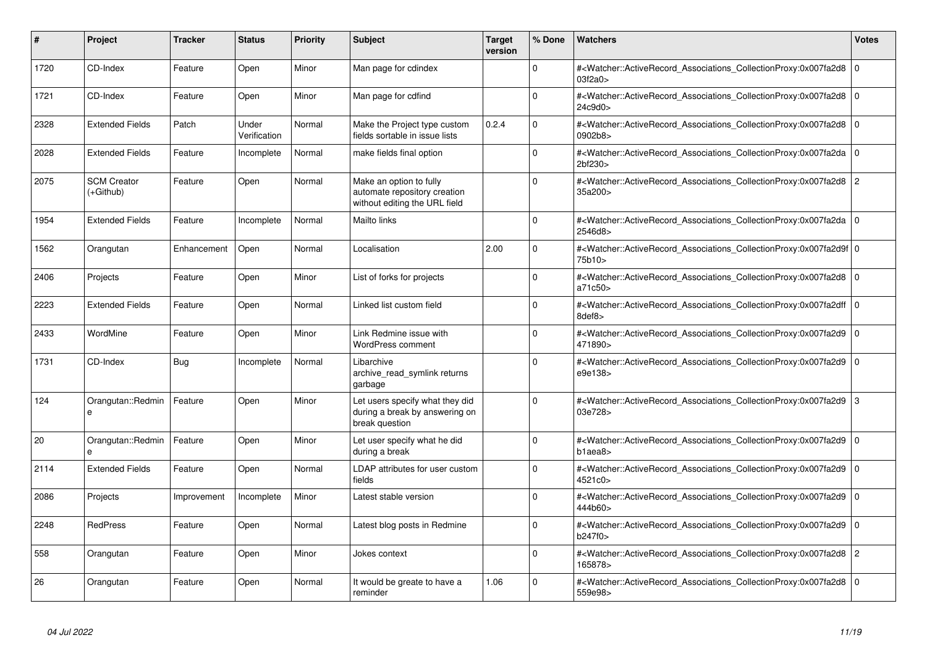| #    | Project                         | <b>Tracker</b> | <b>Status</b>         | <b>Priority</b> | <b>Subject</b>                                                                           | <b>Target</b><br>version | % Done      | <b>Watchers</b>                                                                                                                                           | <b>Votes</b>   |
|------|---------------------------------|----------------|-----------------------|-----------------|------------------------------------------------------------------------------------------|--------------------------|-------------|-----------------------------------------------------------------------------------------------------------------------------------------------------------|----------------|
| 1720 | CD-Index                        | Feature        | Open                  | Minor           | Man page for cdindex                                                                     |                          | $\Omega$    | # <watcher::activerecord associations="" collectionproxy:0x007fa2d8<br="">03f2a0&gt;</watcher::activerecord>                                              | 0              |
| 1721 | CD-Index                        | Feature        | Open                  | Minor           | Man page for cdfind                                                                      |                          | $\Omega$    | # <watcher::activerecord_associations_collectionproxy:0x007fa2d8<br>24c9d0&gt;</watcher::activerecord_associations_collectionproxy:0x007fa2d8<br>         | $\overline{0}$ |
| 2328 | <b>Extended Fields</b>          | Patch          | Under<br>Verification | Normal          | Make the Project type custom<br>fields sortable in issue lists                           | 0.2.4                    | $\Omega$    | # <watcher::activerecord_associations_collectionproxy:0x007fa2d8<br>0902b8&gt;</watcher::activerecord_associations_collectionproxy:0x007fa2d8<br>         | l O            |
| 2028 | <b>Extended Fields</b>          | Feature        | Incomplete            | Normal          | make fields final option                                                                 |                          | $\Omega$    | # <watcher::activerecord_associations_collectionproxy:0x007fa2da 0<br="">2bf230&gt;</watcher::activerecord_associations_collectionproxy:0x007fa2da>       |                |
| 2075 | <b>SCM Creator</b><br>(+Github) | Feature        | Open                  | Normal          | Make an option to fully<br>automate repository creation<br>without editing the URL field |                          | 0           | # <watcher::activerecord associations="" collectionproxy:0x007fa2d8<br="">35a200&gt;</watcher::activerecord>                                              | 2              |
| 1954 | <b>Extended Fields</b>          | Feature        | Incomplete            | Normal          | Mailto links                                                                             |                          | $\Omega$    | # <watcher::activerecord_associations_collectionproxy:0x007fa2da<br>2546d8&gt;</watcher::activerecord_associations_collectionproxy:0x007fa2da<br>         | 0              |
| 1562 | Orangutan                       | Enhancement    | Open                  | Normal          | Localisation                                                                             | 2.00                     | $\Omega$    | # <watcher::activerecord_associations_collectionproxy:0x007fa2d9f 0<br=""  ="">75b10&gt;</watcher::activerecord_associations_collectionproxy:0x007fa2d9f> |                |
| 2406 | Projects                        | Feature        | Open                  | Minor           | List of forks for projects                                                               |                          | $\Omega$    | # <watcher::activerecord associations="" collectionproxy:0x007fa2d8<br="">a71c50&gt;</watcher::activerecord>                                              | l O            |
| 2223 | <b>Extended Fields</b>          | Feature        | Open                  | Normal          | Linked list custom field                                                                 |                          | $\Omega$    | # <watcher::activerecord 0<br="" associations="" collectionproxy:0x007fa2dff=""  ="">8def8&gt;</watcher::activerecord>                                    |                |
| 2433 | WordMine                        | Feature        | Open                  | Minor           | Link Redmine issue with<br><b>WordPress comment</b>                                      |                          | $\Omega$    | # <watcher::activerecord_associations_collectionproxy:0x007fa2d9<br>471890&gt;</watcher::activerecord_associations_collectionproxy:0x007fa2d9<br>         | ۱o             |
| 1731 | CD-Index                        | <b>Bug</b>     | Incomplete            | Normal          | Libarchive<br>archive read symlink returns<br>garbage                                    |                          | $\Omega$    | # <watcher::activerecord_associations_collectionproxy:0x007fa2d9<br>e9e138&gt;</watcher::activerecord_associations_collectionproxy:0x007fa2d9<br>         | ۱o             |
| 124  | Orangutan::Redmin<br>e          | Feature        | Open                  | Minor           | Let users specify what they did<br>during a break by answering on<br>break question      |                          | $\Omega$    | # <watcher::activerecord_associations_collectionproxy:0x007fa2d9  3<br="">03e728&gt;</watcher::activerecord_associations_collectionproxy:0x007fa2d9>      |                |
| 20   | Orangutan::Redmin<br>$\theta$   | Feature        | Open                  | Minor           | Let user specify what he did<br>during a break                                           |                          | $\Omega$    | # <watcher::activerecord associations="" collectionproxy:0x007fa2d9<br="">b1aea8</watcher::activerecord>                                                  | l O            |
| 2114 | <b>Extended Fields</b>          | Feature        | Open                  | Normal          | LDAP attributes for user custom<br>fields                                                |                          | $\Omega$    | # <watcher::activerecord_associations_collectionproxy:0x007fa2d9<br>4521c0&gt;</watcher::activerecord_associations_collectionproxy:0x007fa2d9<br>         | $\overline{0}$ |
| 2086 | Projects                        | Improvement    | Incomplete            | Minor           | Latest stable version                                                                    |                          | $\Omega$    | # <watcher::activerecord_associations_collectionproxy:0x007fa2d9<br>444b60&gt;</watcher::activerecord_associations_collectionproxy:0x007fa2d9<br>         | l O            |
| 2248 | <b>RedPress</b>                 | Feature        | Open                  | Normal          | Latest blog posts in Redmine                                                             |                          | $\Omega$    | # <watcher::activerecord_associations_collectionproxy:0x007fa2d9<br>b247f0&gt;</watcher::activerecord_associations_collectionproxy:0x007fa2d9<br>         | l o            |
| 558  | Orangutan                       | Feature        | Open                  | Minor           | Jokes context                                                                            |                          | $\mathbf 0$ | # <watcher::activerecord_associations_collectionproxy:0x007fa2d8<br>165878&gt;</watcher::activerecord_associations_collectionproxy:0x007fa2d8<br>         | $\overline{2}$ |
| 26   | Orangutan                       | Feature        | Open                  | Normal          | It would be greate to have a<br>reminder                                                 | 1.06                     | $\Omega$    | # <watcher::activerecord associations="" collectionproxy:0x007fa2d8<br="">559e98&gt;</watcher::activerecord>                                              | l O            |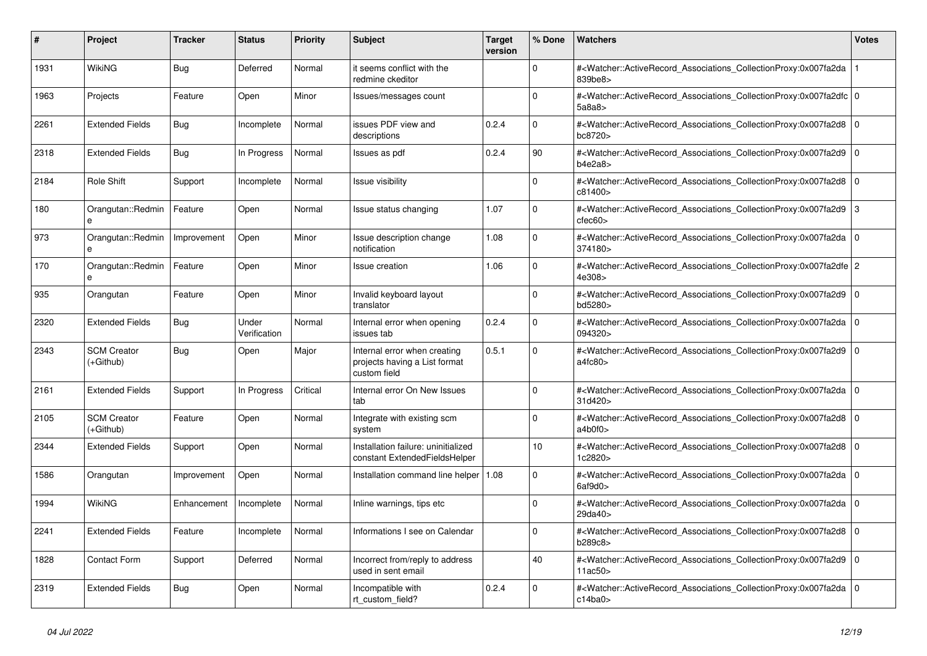| #    | <b>Project</b>                  | <b>Tracker</b> | <b>Status</b>         | <b>Priority</b> | <b>Subject</b>                                                                | <b>Target</b><br>version | % Done      | <b>Watchers</b>                                                                                                                                           | <b>Votes</b> |
|------|---------------------------------|----------------|-----------------------|-----------------|-------------------------------------------------------------------------------|--------------------------|-------------|-----------------------------------------------------------------------------------------------------------------------------------------------------------|--------------|
| 1931 | WikiNG                          | Bug            | Deferred              | Normal          | it seems conflict with the<br>redmine ckeditor                                |                          | $\Omega$    | # <watcher::activerecord_associations_collectionproxy:0x007fa2da<br>839be8&gt;</watcher::activerecord_associations_collectionproxy:0x007fa2da<br>         |              |
| 1963 | Projects                        | Feature        | Open                  | Minor           | Issues/messages count                                                         |                          | $\Omega$    | # <watcher::activerecord_associations_collectionproxy:0x007fa2dfc 0<br=""  ="">5a8a8&gt;</watcher::activerecord_associations_collectionproxy:0x007fa2dfc> |              |
| 2261 | <b>Extended Fields</b>          | <b>Bug</b>     | Incomplete            | Normal          | issues PDF view and<br>descriptions                                           | 0.2.4                    | $\Omega$    | # <watcher::activerecord 0<br="" associations="" collectionproxy:0x007fa2d8=""  ="">bc8720&gt;</watcher::activerecord>                                    |              |
| 2318 | <b>Extended Fields</b>          | Bug            | In Progress           | Normal          | Issues as pdf                                                                 | 0.2.4                    | 90          | # <watcher::activerecord_associations_collectionproxy:0x007fa2d9<br>b4e2a8</watcher::activerecord_associations_collectionproxy:0x007fa2d9<br>             | $\mathbf 0$  |
| 2184 | Role Shift                      | Support        | Incomplete            | Normal          | Issue visibility                                                              |                          | $\Omega$    | # <watcher::activerecord_associations_collectionproxy:0x007fa2d8 0<br="">c81400&gt;</watcher::activerecord_associations_collectionproxy:0x007fa2d8>       |              |
| 180  | Orangutan::Redmin               | Feature        | Open                  | Normal          | Issue status changing                                                         | 1.07                     | $\mathbf 0$ | # <watcher::activerecord 3<br="" associations="" collectionproxy:0x007fa2d9=""><math>c</math>fec<math>60</math></watcher::activerecord>                   |              |
| 973  | Orangutan::Redmin               | Improvement    | Open                  | Minor           | Issue description change<br>notification                                      | 1.08                     | $\Omega$    | # <watcher::activerecord associations="" collectionproxy:0x007fa2da<br="">374180&gt;</watcher::activerecord>                                              | $\mathbf 0$  |
| 170  | Orangutan::Redmin<br>e          | Feature        | Open                  | Minor           | Issue creation                                                                | 1.06                     | $\Omega$    | # <watcher::activerecord_associations_collectionproxy:0x007fa2dfe 2<br="">4e308&gt;</watcher::activerecord_associations_collectionproxy:0x007fa2dfe>      |              |
| 935  | Orangutan                       | Feature        | Open                  | Minor           | Invalid keyboard layout<br>translator                                         |                          | $\mathbf 0$ | # <watcher::activerecord_associations_collectionproxy:0x007fa2d9 0<br=""  ="">bd5280&gt;</watcher::activerecord_associations_collectionproxy:0x007fa2d9>  |              |
| 2320 | <b>Extended Fields</b>          | Bug            | Under<br>Verification | Normal          | Internal error when opening<br>issues tab                                     | 0.2.4                    | $\Omega$    | # <watcher::activerecord_associations_collectionproxy:0x007fa2da<br>094320&gt;</watcher::activerecord_associations_collectionproxy:0x007fa2da<br>         | l 0          |
| 2343 | <b>SCM Creator</b><br>(+Github) | <b>Bug</b>     | Open                  | Major           | Internal error when creating<br>projects having a List format<br>custom field | 0.5.1                    | $\Omega$    | # <watcher::activerecord_associations_collectionproxy:0x007fa2d9 0<br=""  ="">a4fc80&gt;</watcher::activerecord_associations_collectionproxy:0x007fa2d9>  |              |
| 2161 | <b>Extended Fields</b>          | Support        | In Progress           | Critical        | Internal error On New Issues<br>tab                                           |                          | $\mathbf 0$ | # <watcher::activerecord 0<br="" associations="" collectionproxy:0x007fa2da=""  ="">31d420&gt;</watcher::activerecord>                                    |              |
| 2105 | <b>SCM Creator</b><br>(+Github) | Feature        | Open                  | Normal          | Integrate with existing scm<br>system                                         |                          | $\Omega$    | # <watcher::activerecord associations="" collectionproxy:0x007fa2d8<br="">a4b0f0&gt;</watcher::activerecord>                                              | $\Omega$     |
| 2344 | <b>Extended Fields</b>          | Support        | Open                  | Normal          | Installation failure: uninitialized<br>constant ExtendedFieldsHelper          |                          | 10          | # <watcher::activerecord_associations_collectionproxy:0x007fa2d8 0<br="">1c2820&gt;</watcher::activerecord_associations_collectionproxy:0x007fa2d8>       |              |
| 1586 | Orangutan                       | Improvement    | Open                  | Normal          | Installation command line helper   1.08                                       |                          | $\mathbf 0$ | # <watcher::activerecord 0<br="" associations="" collectionproxy:0x007fa2da=""  ="">6af9d0&gt;</watcher::activerecord>                                    |              |
| 1994 | WikiNG                          | Enhancement    | Incomplete            | Normal          | Inline warnings, tips etc                                                     |                          | $\mathbf 0$ | # <watcher::activerecord_associations_collectionproxy:0x007fa2da<br>29da40&gt;</watcher::activerecord_associations_collectionproxy:0x007fa2da<br>         | l 0          |
| 2241 | <b>Extended Fields</b>          | Feature        | Incomplete            | Normal          | Informations I see on Calendar                                                |                          | $\Omega$    | # <watcher::activerecord 0<br="" associations="" collectionproxy:0x007fa2d8=""  ="">b289c8&gt;</watcher::activerecord>                                    |              |
| 1828 | <b>Contact Form</b>             | Support        | Deferred              | Normal          | Incorrect from/reply to address<br>used in sent email                         |                          | 40          | # <watcher::activerecord_associations_collectionproxy:0x007fa2d9<br>11ac50&gt;</watcher::activerecord_associations_collectionproxy:0x007fa2d9<br>         | l 0          |
| 2319 | <b>Extended Fields</b>          | <b>Bug</b>     | Open                  | Normal          | Incompatible with<br>rt custom field?                                         | 0.2.4                    | $\Omega$    | # <watcher::activerecord_associations_collectionproxy:0x007fa2da<br>c14ba0</watcher::activerecord_associations_collectionproxy:0x007fa2da<br>             | l 0          |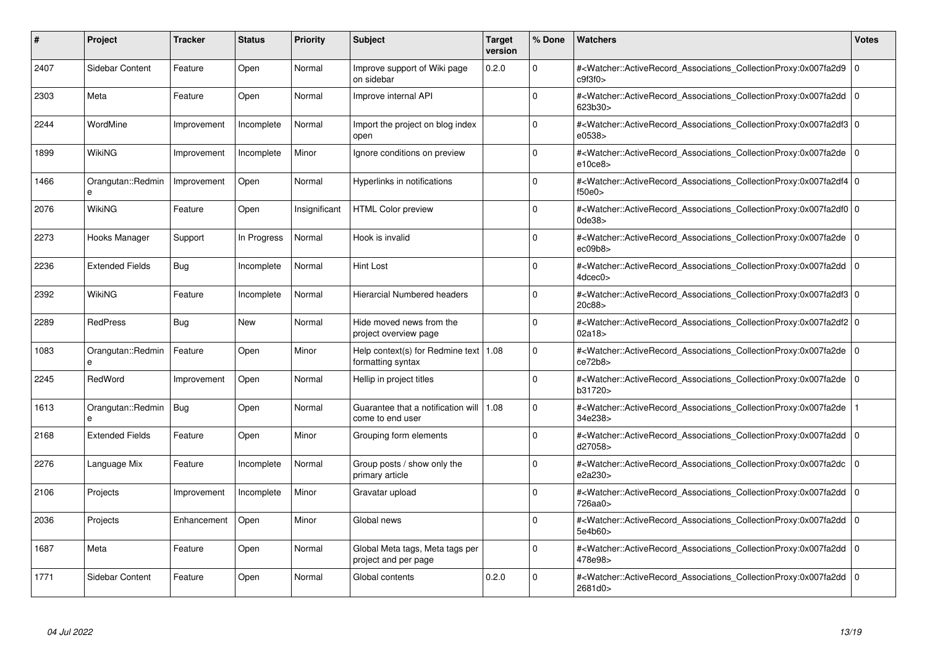| #    | <b>Project</b>         | <b>Tracker</b> | <b>Status</b> | <b>Priority</b> | <b>Subject</b>                                                | <b>Target</b><br>version | % Done      | <b>Watchers</b>                                                                                                                                                            | <b>Votes</b> |
|------|------------------------|----------------|---------------|-----------------|---------------------------------------------------------------|--------------------------|-------------|----------------------------------------------------------------------------------------------------------------------------------------------------------------------------|--------------|
| 2407 | Sidebar Content        | Feature        | Open          | Normal          | Improve support of Wiki page<br>on sidebar                    | 0.2.0                    | $\Omega$    | # <watcher::activerecord associations="" collectionproxy:0x007fa2d9<br="">c9f3f0&gt;</watcher::activerecord>                                                               | $\Omega$     |
| 2303 | Meta                   | Feature        | Open          | Normal          | Improve internal API                                          |                          | $\Omega$    | # <watcher::activerecord 0<br="" associations="" collectionproxy:0x007fa2dd=""  ="">623b30&gt;</watcher::activerecord>                                                     |              |
| 2244 | WordMine               | Improvement    | Incomplete    | Normal          | Import the project on blog index<br>open                      |                          | $\Omega$    | # <watcher::activerecord_associations_collectionproxy:0x007fa2df3 0<br="">e0538&gt;</watcher::activerecord_associations_collectionproxy:0x007fa2df3>                       |              |
| 1899 | WikiNG                 | Improvement    | Incomplete    | Minor           | Ignore conditions on preview                                  |                          | $\Omega$    | # <watcher::activerecord 0<br="" associations="" collectionproxy:0x007fa2de=""  ="">e10ce8</watcher::activerecord>                                                         |              |
| 1466 | Orangutan::Redmin      | Improvement    | Open          | Normal          | Hyperlinks in notifications                                   |                          | $\Omega$    | # <watcher::activerecord_associations_collectionproxy:0x007fa2df4 0<br=""  ="">f50e0</watcher::activerecord_associations_collectionproxy:0x007fa2df4>                      |              |
| 2076 | WikiNG                 | Feature        | Open          | Insignificant   | <b>HTML Color preview</b>                                     |                          | $\Omega$    | # <watcher::activerecord_associations_collectionproxy:0x007fa2df0 0<br=""><math>0</math>de<math>38</math></watcher::activerecord_associations_collectionproxy:0x007fa2df0> |              |
| 2273 | Hooks Manager          | Support        | In Progress   | Normal          | Hook is invalid                                               |                          | $\Omega$    | # <watcher::activerecord associations="" collectionproxy:0x007fa2de<br="">ec09b8</watcher::activerecord>                                                                   | l 0          |
| 2236 | <b>Extended Fields</b> | Bug            | Incomplete    | Normal          | Hint Lost                                                     |                          | $\Omega$    | # <watcher::activerecord_associations_collectionproxy:0x007fa2dd 0<br=""  ="">4dcec0&gt;</watcher::activerecord_associations_collectionproxy:0x007fa2dd>                   |              |
| 2392 | <b>WikiNG</b>          | Feature        | Incomplete    | Normal          | Hierarcial Numbered headers                                   |                          | $\Omega$    | # <watcher::activerecord_associations_collectionproxy:0x007fa2df3 0<br=""  ="">20c88&gt;</watcher::activerecord_associations_collectionproxy:0x007fa2df3>                  |              |
| 2289 | <b>RedPress</b>        | Bug            | <b>New</b>    | Normal          | Hide moved news from the<br>project overview page             |                          | $\Omega$    | # <watcher::activerecord 0<br="" associations="" collectionproxy:0x007fa2df2="">02a18</watcher::activerecord>                                                              |              |
| 1083 | Orangutan::Redmin<br>e | Feature        | Open          | Minor           | Help context(s) for Redmine text   1.08<br>formatting syntax  |                          | $\Omega$    | # <watcher::activerecord_associations_collectionproxy:0x007fa2de 0<br="">ce72b8</watcher::activerecord_associations_collectionproxy:0x007fa2de>                            |              |
| 2245 | RedWord                | Improvement    | Open          | Normal          | Hellip in project titles                                      |                          | $\Omega$    | # <watcher::activerecord 0<br="" associations="" collectionproxy:0x007fa2de=""  ="">b31720&gt;</watcher::activerecord>                                                     |              |
| 1613 | Orangutan::Redmin<br>e | Bug            | Open          | Normal          | Guarantee that a notification will   1.08<br>come to end user |                          | $\Omega$    | # <watcher::activerecord associations="" collectionproxy:0x007fa2de<br="">34e238&gt;</watcher::activerecord>                                                               |              |
| 2168 | <b>Extended Fields</b> | Feature        | Open          | Minor           | Grouping form elements                                        |                          | $\Omega$    | # <watcher::activerecord_associations_collectionproxy:0x007fa2dd 0<br="">d27058&gt;</watcher::activerecord_associations_collectionproxy:0x007fa2dd>                        |              |
| 2276 | Language Mix           | Feature        | Incomplete    | Normal          | Group posts / show only the<br>primary article                |                          | $\Omega$    | # <watcher::activerecord associations="" collectionproxy:0x007fa2dc<br="">e2a230&gt;</watcher::activerecord>                                                               | l O          |
| 2106 | Projects               | Improvement    | Incomplete    | Minor           | Gravatar upload                                               |                          | $\Omega$    | # <watcher::activerecord_associations_collectionproxy:0x007fa2dd 0<br=""  ="">726aa0&gt;</watcher::activerecord_associations_collectionproxy:0x007fa2dd>                   |              |
| 2036 | Projects               | Enhancement    | Open          | Minor           | Global news                                                   |                          | $\Omega$    | # <watcher::activerecord_associations_collectionproxy:0x007fa2dd 0<br=""  ="">5e4b60&gt;</watcher::activerecord_associations_collectionproxy:0x007fa2dd>                   |              |
| 1687 | Meta                   | Feature        | Open          | Normal          | Global Meta tags, Meta tags per<br>project and per page       |                          | $\mathbf 0$ | # <watcher::activerecord 0<br="" associations="" collectionproxy:0x007fa2dd=""  ="">478e98&gt;</watcher::activerecord>                                                     |              |
| 1771 | Sidebar Content        | Feature        | Open          | Normal          | Global contents                                               | 0.2.0                    | $\Omega$    | # <watcher::activerecord 0<br="" associations="" collectionproxy:0x007fa2dd=""  ="">2681d0&gt;</watcher::activerecord>                                                     |              |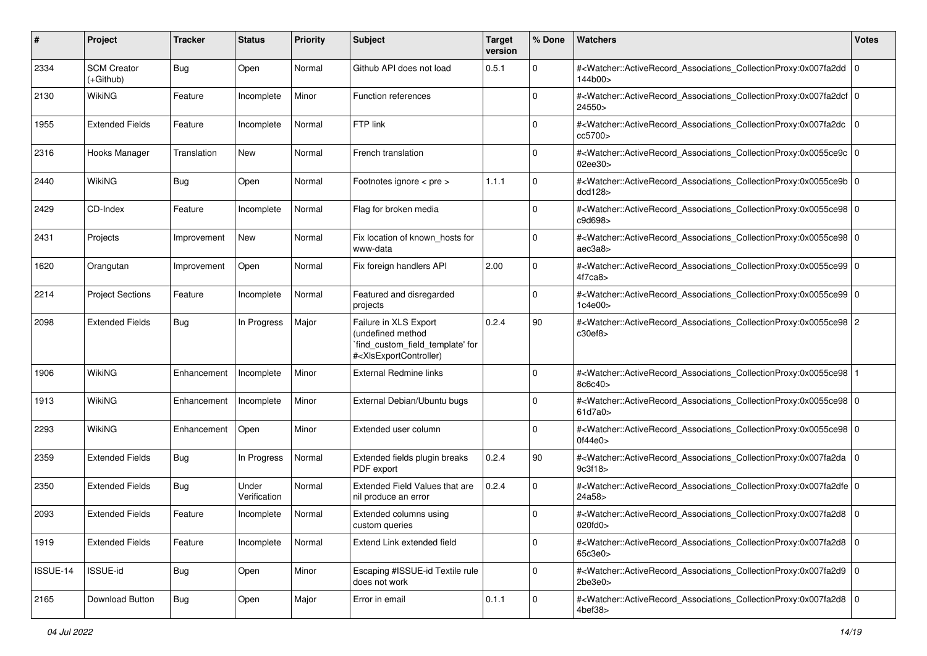| #        | Project                         | <b>Tracker</b> | <b>Status</b>         | <b>Priority</b> | <b>Subject</b>                                                                                                                                                                                                                                                                                                                     | <b>Target</b><br>version | % Done      | <b>Watchers</b>                                                                                                                                          | <b>Votes</b> |
|----------|---------------------------------|----------------|-----------------------|-----------------|------------------------------------------------------------------------------------------------------------------------------------------------------------------------------------------------------------------------------------------------------------------------------------------------------------------------------------|--------------------------|-------------|----------------------------------------------------------------------------------------------------------------------------------------------------------|--------------|
| 2334     | <b>SCM Creator</b><br>(+Github) | Bug            | Open                  | Normal          | Github API does not load                                                                                                                                                                                                                                                                                                           | 0.5.1                    | 0           | # <watcher::activerecord_associations_collectionproxy:0x007fa2dd 0<br=""  ="">144b00&gt;</watcher::activerecord_associations_collectionproxy:0x007fa2dd> |              |
| 2130     | <b>WikiNG</b>                   | Feature        | Incomplete            | Minor           | Function references                                                                                                                                                                                                                                                                                                                |                          | 0           | # <watcher::activerecord_associations_collectionproxy:0x007fa2dcf 0<br="">24550&gt;</watcher::activerecord_associations_collectionproxy:0x007fa2dcf>     |              |
| 1955     | <b>Extended Fields</b>          | Feature        | Incomplete            | Normal          | FTP link                                                                                                                                                                                                                                                                                                                           |                          | 0           | # <watcher::activerecord_associations_collectionproxy:0x007fa2dc<br>cc5700&gt;</watcher::activerecord_associations_collectionproxy:0x007fa2dc<br>        | ۱٥           |
| 2316     | Hooks Manager                   | Translation    | New                   | Normal          | French translation                                                                                                                                                                                                                                                                                                                 |                          | $\Omega$    | # <watcher::activerecord 0<br="" associations="" collectionproxy:0x0055ce9c="">02ee30&gt;</watcher::activerecord>                                        |              |
| 2440     | <b>WikiNG</b>                   | Bug            | Open                  | Normal          | Footnotes ignore < pre >                                                                                                                                                                                                                                                                                                           | 1.1.1                    | $\mathbf 0$ | # <watcher::activerecord_associations_collectionproxy:0x0055ce9b 0<br=""  ="">dcd128&gt;</watcher::activerecord_associations_collectionproxy:0x0055ce9b> |              |
| 2429     | CD-Index                        | Feature        | Incomplete            | Normal          | Flag for broken media                                                                                                                                                                                                                                                                                                              |                          | $\Omega$    | # <watcher::activerecord_associations_collectionproxy:0x0055ce98 0<br="">c9d698&gt;</watcher::activerecord_associations_collectionproxy:0x0055ce98>      |              |
| 2431     | Projects                        | Improvement    | New                   | Normal          | Fix location of known hosts for<br>www-data                                                                                                                                                                                                                                                                                        |                          | $\mathbf 0$ | # <watcher::activerecord_associations_collectionproxy:0x0055ce98 0<br=""  ="">aec3a8&gt;</watcher::activerecord_associations_collectionproxy:0x0055ce98> |              |
| 1620     | Orangutan                       | Improvement    | Open                  | Normal          | Fix foreign handlers API                                                                                                                                                                                                                                                                                                           | 2.00                     | 0           | # <watcher::activerecord_associations_collectionproxy:0x0055ce99 0<br=""  ="">4f7ca8&gt;</watcher::activerecord_associations_collectionproxy:0x0055ce99> |              |
| 2214     | <b>Project Sections</b>         | Feature        | Incomplete            | Normal          | Featured and disregarded<br>projects                                                                                                                                                                                                                                                                                               |                          | $\mathbf 0$ | # <watcher::activerecord_associations_collectionproxy:0x0055ce99 0<br="">1c4e00&gt;</watcher::activerecord_associations_collectionproxy:0x0055ce99>      |              |
| 2098     | <b>Extended Fields</b>          | Bug            | In Progress           | Major           | Failure in XLS Export<br>(undefined method<br>`find_custom_field_template' for<br># <xisexportcontroller)< td=""><td>0.2.4</td><td>90</td><td>#<watcher::activerecord_associations_collectionproxy:0x0055ce98 2<br="">c30ef8</watcher::activerecord_associations_collectionproxy:0x0055ce98></td><td></td></xisexportcontroller)<> | 0.2.4                    | 90          | # <watcher::activerecord_associations_collectionproxy:0x0055ce98 2<br="">c30ef8</watcher::activerecord_associations_collectionproxy:0x0055ce98>          |              |
| 1906     | WikiNG                          | Enhancement    | Incomplete            | Minor           | External Redmine links                                                                                                                                                                                                                                                                                                             |                          | $\mathbf 0$ | # <watcher::activerecord_associations_collectionproxy:0x0055ce98<br>8c6c40&gt;</watcher::activerecord_associations_collectionproxy:0x0055ce98<br>        |              |
| 1913     | <b>WikiNG</b>                   | Enhancement    | Incomplete            | Minor           | External Debian/Ubuntu bugs                                                                                                                                                                                                                                                                                                        |                          | $\Omega$    | # <watcher::activerecord_associations_collectionproxy:0x0055ce98 0<br=""  ="">61d7a0&gt;</watcher::activerecord_associations_collectionproxy:0x0055ce98> |              |
| 2293     | <b>WikiNG</b>                   | Enhancement    | Open                  | Minor           | Extended user column                                                                                                                                                                                                                                                                                                               |                          | 0           | # <watcher::activerecord_associations_collectionproxy:0x0055ce98 0<br=""  ="">0f44e0&gt;</watcher::activerecord_associations_collectionproxy:0x0055ce98> |              |
| 2359     | <b>Extended Fields</b>          | Bug            | In Progress           | Normal          | Extended fields plugin breaks<br>PDF export                                                                                                                                                                                                                                                                                        | 0.2.4                    | $90\,$      | # <watcher::activerecord_associations_collectionproxy:0x007fa2da 0<br=""  ="">9c3f18</watcher::activerecord_associations_collectionproxy:0x007fa2da>     |              |
| 2350     | <b>Extended Fields</b>          | Bug            | Under<br>Verification | Normal          | Extended Field Values that are<br>nil produce an error                                                                                                                                                                                                                                                                             | 0.2.4                    | $\mathbf 0$ | # <watcher::activerecord_associations_collectionproxy:0x007fa2dfe 0<br="">24a58&gt;</watcher::activerecord_associations_collectionproxy:0x007fa2dfe>     |              |
| 2093     | <b>Extended Fields</b>          | Feature        | Incomplete            | Normal          | Extended columns using<br>custom queries                                                                                                                                                                                                                                                                                           |                          | 0           | # <watcher::activerecord_associations_collectionproxy:0x007fa2d8 0<br=""  ="">020fd0&gt;</watcher::activerecord_associations_collectionproxy:0x007fa2d8> |              |
| 1919     | <b>Extended Fields</b>          | Feature        | Incomplete            | Normal          | Extend Link extended field                                                                                                                                                                                                                                                                                                         |                          | 0           | # <watcher::activerecord 0<br="" associations="" collectionproxy:0x007fa2d8="">65c3e0&gt;</watcher::activerecord>                                        |              |
| ISSUE-14 | ISSUE-id                        | <b>Bug</b>     | Open                  | Minor           | Escaping #ISSUE-id Textile rule<br>does not work                                                                                                                                                                                                                                                                                   |                          | $\mathbf 0$ | # <watcher::activerecord_associations_collectionproxy:0x007fa2d9 0<br="">2be3e0&gt;</watcher::activerecord_associations_collectionproxy:0x007fa2d9>      |              |
| 2165     | Download Button                 | <b>Bug</b>     | Open                  | Major           | Error in email                                                                                                                                                                                                                                                                                                                     | 0.1.1                    | $\mathbf 0$ | # <watcher::activerecord_associations_collectionproxy:0x007fa2d8 0<br=""  ="">4bef38&gt;</watcher::activerecord_associations_collectionproxy:0x007fa2d8> |              |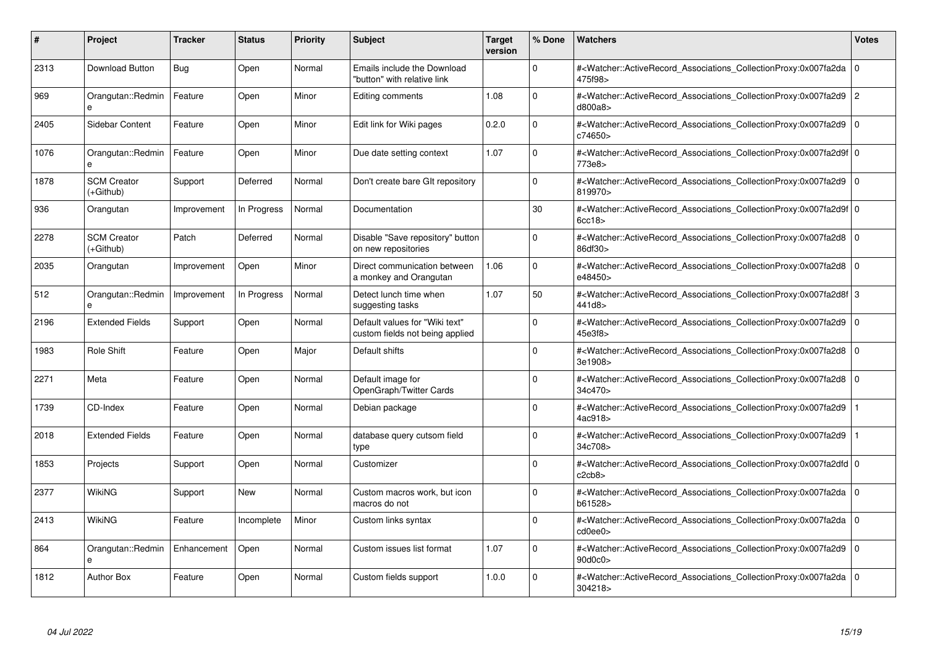| #    | Project                           | <b>Tracker</b> | <b>Status</b> | <b>Priority</b> | <b>Subject</b>                                                    | <b>Target</b><br>version | % Done      | <b>Watchers</b>                                                                                                                                          | <b>Votes</b>   |
|------|-----------------------------------|----------------|---------------|-----------------|-------------------------------------------------------------------|--------------------------|-------------|----------------------------------------------------------------------------------------------------------------------------------------------------------|----------------|
| 2313 | <b>Download Button</b>            | Bug            | Open          | Normal          | Emails include the Download<br>"button" with relative link        |                          | $\Omega$    | # <watcher::activerecord associations="" collectionproxy:0x007fa2da<br="">475f98&gt;</watcher::activerecord>                                             | $\Omega$       |
| 969  | Orangutan::Redmin<br>e            | Feature        | Open          | Minor           | Editing comments                                                  | 1.08                     | $\Omega$    | # <watcher::activerecord_associations_collectionproxy:0x007fa2d9 2<br="">d800a8&gt;</watcher::activerecord_associations_collectionproxy:0x007fa2d9>      |                |
| 2405 | Sidebar Content                   | Feature        | Open          | Minor           | Edit link for Wiki pages                                          | 0.2.0                    | $\mathbf 0$ | # <watcher::activerecord_associations_collectionproxy:0x007fa2d9<br>c74650&gt;</watcher::activerecord_associations_collectionproxy:0x007fa2d9<br>        | $\mathbf 0$    |
| 1076 | Orangutan::Redmin<br>$\mathbf{a}$ | Feature        | Open          | Minor           | Due date setting context                                          | 1.07                     | $\Omega$    | # <watcher::activerecord_associations_collectionproxy:0x007fa2d9f 0<br="">773e8&gt;</watcher::activerecord_associations_collectionproxy:0x007fa2d9f>     |                |
| 1878 | <b>SCM Creator</b><br>(+Github)   | Support        | Deferred      | Normal          | Don't create bare GIt repository                                  |                          | $\Omega$    | # <watcher::activerecord associations="" collectionproxy:0x007fa2d9<br="">819970&gt;</watcher::activerecord>                                             | $\mathbf 0$    |
| 936  | Orangutan                         | Improvement    | In Progress   | Normal          | Documentation                                                     |                          | 30          | # <watcher::activerecord_associations_collectionproxy:0x007fa2d9f 0<br=""  ="">6cc18</watcher::activerecord_associations_collectionproxy:0x007fa2d9f>    |                |
| 2278 | <b>SCM Creator</b><br>(+Github)   | Patch          | Deferred      | Normal          | Disable "Save repository" button<br>on new repositories           |                          | $\Omega$    | # <watcher::activerecord_associations_collectionproxy:0x007fa2d8<br>86df30&gt;</watcher::activerecord_associations_collectionproxy:0x007fa2d8<br>        | $\Omega$       |
| 2035 | Orangutan                         | Improvement    | Open          | Minor           | Direct communication between<br>a monkey and Orangutan            | 1.06                     | $\Omega$    | # <watcher::activerecord 0<br="" associations="" collectionproxy:0x007fa2d8=""  ="">e48450&gt;</watcher::activerecord>                                   |                |
| 512  | Orangutan::Redmin<br>e            | Improvement    | In Progress   | Normal          | Detect lunch time when<br>suggesting tasks                        | 1.07                     | 50          | # <watcher::activerecord_associations_collectionproxy:0x007fa2d8f 3<br="">441d8&gt;</watcher::activerecord_associations_collectionproxy:0x007fa2d8f>     |                |
| 2196 | <b>Extended Fields</b>            | Support        | Open          | Normal          | Default values for "Wiki text"<br>custom fields not being applied |                          | $\Omega$    | # <watcher::activerecord_associations_collectionproxy:0x007fa2d9 0<br=""  ="">45e3f8&gt;</watcher::activerecord_associations_collectionproxy:0x007fa2d9> |                |
| 1983 | Role Shift                        | Feature        | Open          | Major           | Default shifts                                                    |                          | $\Omega$    | # <watcher::activerecord associations="" collectionproxy:0x007fa2d8<br="">3e1908&gt;</watcher::activerecord>                                             | $\overline{0}$ |
| 2271 | Meta                              | Feature        | Open          | Normal          | Default image for<br>OpenGraph/Twitter Cards                      |                          | $\Omega$    | # <watcher::activerecord_associations_collectionproxy:0x007fa2d8 0<br=""  ="">34c470&gt;</watcher::activerecord_associations_collectionproxy:0x007fa2d8> |                |
| 1739 | CD-Index                          | Feature        | Open          | Normal          | Debian package                                                    |                          | $\Omega$    | # <watcher::activerecord_associations_collectionproxy:0x007fa2d9<br>4ac918&gt;</watcher::activerecord_associations_collectionproxy:0x007fa2d9<br>        |                |
| 2018 | <b>Extended Fields</b>            | Feature        | Open          | Normal          | database query cutsom field<br>type                               |                          | $\Omega$    | # <watcher::activerecord_associations_collectionproxy:0x007fa2d9<br>34c708&gt;</watcher::activerecord_associations_collectionproxy:0x007fa2d9<br>        |                |
| 1853 | Projects                          | Support        | Open          | Normal          | Customizer                                                        |                          | $\mathbf 0$ | # <watcher::activerecord_associations_collectionproxy:0x007fa2dfd 0<br=""  ="">c2cb8</watcher::activerecord_associations_collectionproxy:0x007fa2dfd>    |                |
| 2377 | WikiNG                            | Support        | <b>New</b>    | Normal          | Custom macros work, but icon<br>macros do not                     |                          | $\Omega$    | # <watcher::activerecord_associations_collectionproxy:0x007fa2da 0<br="">b61528&gt;</watcher::activerecord_associations_collectionproxy:0x007fa2da>      |                |
| 2413 | WikiNG                            | Feature        | Incomplete    | Minor           | Custom links syntax                                               |                          | $\Omega$    | # <watcher::activerecord 0<br="" associations="" collectionproxy:0x007fa2da=""  ="">cd0ee0&gt;</watcher::activerecord>                                   |                |
| 864  | Orangutan::Redmin<br>e            | Enhancement    | Open          | Normal          | Custom issues list format                                         | 1.07                     | $\Omega$    | # <watcher::activerecord associations="" collectionproxy:0x007fa2d9<br="">90d0c0&gt;</watcher::activerecord>                                             | l 0            |
| 1812 | <b>Author Box</b>                 | Feature        | Open          | Normal          | Custom fields support                                             | 1.0.0                    | $\Omega$    | # <watcher::activerecord 0<br="" associations="" collectionproxy:0x007fa2da=""  ="">304218&gt;</watcher::activerecord>                                   |                |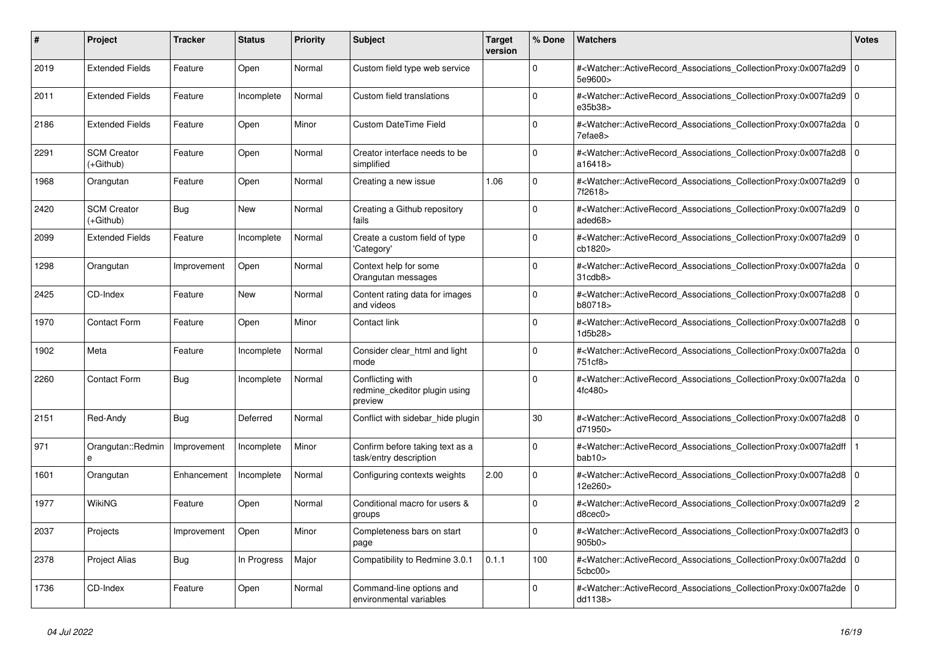| #    | <b>Project</b>                  | <b>Tracker</b> | <b>Status</b> | <b>Priority</b> | <b>Subject</b>                                               | <b>Target</b><br>version | % Done         | <b>Watchers</b>                                                                                                                                   | Votes          |
|------|---------------------------------|----------------|---------------|-----------------|--------------------------------------------------------------|--------------------------|----------------|---------------------------------------------------------------------------------------------------------------------------------------------------|----------------|
| 2019 | <b>Extended Fields</b>          | Feature        | Open          | Normal          | Custom field type web service                                |                          | $\Omega$       | # <watcher::activerecord_associations_collectionproxy:0x007fa2d9<br>5e9600&gt;</watcher::activerecord_associations_collectionproxy:0x007fa2d9<br> | $\mathbf 0$    |
| 2011 | <b>Extended Fields</b>          | Feature        | Incomplete    | Normal          | Custom field translations                                    |                          | $\Omega$       | # <watcher::activerecord_associations_collectionproxy:0x007fa2d9<br>e35b38&gt;</watcher::activerecord_associations_collectionproxy:0x007fa2d9<br> | $\Omega$       |
| 2186 | <b>Extended Fields</b>          | Feature        | Open          | Minor           | <b>Custom DateTime Field</b>                                 |                          | $\Omega$       | # <watcher::activerecord 0<br="" associations="" collectionproxy:0x007fa2da=""  ="">7efae8&gt;</watcher::activerecord>                            |                |
| 2291 | <b>SCM Creator</b><br>(+Github) | Feature        | Open          | Normal          | Creator interface needs to be<br>simplified                  |                          | $\Omega$       | # <watcher::activerecord_associations_collectionproxy:0x007fa2d8<br>a16418&gt;</watcher::activerecord_associations_collectionproxy:0x007fa2d8<br> | $\mathbf 0$    |
| 1968 | Orangutan                       | Feature        | Open          | Normal          | Creating a new issue                                         | 1.06                     | $\Omega$       | # <watcher::activerecord_associations_collectionproxy:0x007fa2d9<br>7f2618&gt;</watcher::activerecord_associations_collectionproxy:0x007fa2d9<br> | $\Omega$       |
| 2420 | <b>SCM Creator</b><br>(+Github) | Bug            | New           | Normal          | Creating a Github repository<br>fails                        |                          | $\mathbf 0$    | # <watcher::activerecord associations="" collectionproxy:0x007fa2d9<br="">aded68&gt;</watcher::activerecord>                                      | l O            |
| 2099 | <b>Extended Fields</b>          | Feature        | Incomplete    | Normal          | Create a custom field of type<br>'Category'                  |                          | $\Omega$       | # <watcher::activerecord associations="" collectionproxy:0x007fa2d9<br="">cb1820&gt;</watcher::activerecord>                                      | $\mathbf 0$    |
| 1298 | Orangutan                       | Improvement    | Open          | Normal          | Context help for some<br>Orangutan messages                  |                          | $\Omega$       | # <watcher::activerecord associations="" collectionproxy:0x007fa2da<br="">31cdb8</watcher::activerecord>                                          | $\Omega$       |
| 2425 | CD-Index                        | Feature        | New           | Normal          | Content rating data for images<br>and videos                 |                          | 0              | # <watcher::activerecord_associations_collectionproxy:0x007fa2d8<br>b80718&gt;</watcher::activerecord_associations_collectionproxy:0x007fa2d8<br> | $\mathbf 0$    |
| 1970 | <b>Contact Form</b>             | Feature        | Open          | Minor           | Contact link                                                 |                          | <sup>0</sup>   | # <watcher::activerecord_associations_collectionproxy:0x007fa2d8<br>1d5b28&gt;</watcher::activerecord_associations_collectionproxy:0x007fa2d8<br> | $\mathbf 0$    |
| 1902 | Meta                            | Feature        | Incomplete    | Normal          | Consider clear_html and light<br>mode                        |                          | $\Omega$       | # <watcher::activerecord_associations_collectionproxy:0x007fa2da<br>751cf8&gt;</watcher::activerecord_associations_collectionproxy:0x007fa2da<br> | $\Omega$       |
| 2260 | <b>Contact Form</b>             | Bug            | Incomplete    | Normal          | Conflicting with<br>redmine ckeditor plugin using<br>preview |                          | $\overline{0}$ | # <watcher::activerecord associations="" collectionproxy:0x007fa2da<br="">4fc480&gt;</watcher::activerecord>                                      | $\mathbf 0$    |
| 2151 | Red-Andy                        | <b>Bug</b>     | Deferred      | Normal          | Conflict with sidebar_hide plugin                            |                          | 30             | # <watcher::activerecord_associations_collectionproxy:0x007fa2d8<br>d71950&gt;</watcher::activerecord_associations_collectionproxy:0x007fa2d8<br> | $\Omega$       |
| 971  | Orangutan::Redmin<br>e          | Improvement    | Incomplete    | Minor           | Confirm before taking text as a<br>task/entry description    |                          | $\Omega$       | # <watcher::activerecord associations="" collectionproxy:0x007fa2dff<br="">bab10&gt;</watcher::activerecord>                                      |                |
| 1601 | Orangutan                       | Enhancement    | Incomplete    | Normal          | Configuring contexts weights                                 | 2.00                     | $\mathbf 0$    | # <watcher::activerecord associations="" collectionproxy:0x007fa2d8<br="">12e260&gt;</watcher::activerecord>                                      | $\mathbf 0$    |
| 1977 | <b>WikiNG</b>                   | Feature        | Open          | Normal          | Conditional macro for users &<br>groups                      |                          | $\mathbf 0$    | # <watcher::activerecord_associations_collectionproxy:0x007fa2d9<br>d8cec0</watcher::activerecord_associations_collectionproxy:0x007fa2d9<br>     | $\overline{2}$ |
| 2037 | Projects                        | Improvement    | Open          | Minor           | Completeness bars on start<br>page                           |                          | $\Omega$       | # <watcher::activerecord 0<br="" associations="" collectionproxy:0x007fa2df3=""  ="">905b0</watcher::activerecord>                                |                |
| 2378 | <b>Project Alias</b>            | Bug            | In Progress   | Major           | Compatibility to Redmine 3.0.1                               | 0.1.1                    | 100            | # <watcher::activerecord_associations_collectionproxy:0x007fa2dd<br>5cbc00&gt;</watcher::activerecord_associations_collectionproxy:0x007fa2dd<br> | l O            |
| 1736 | CD-Index                        | Feature        | Open          | Normal          | Command-line options and<br>environmental variables          |                          | 0              | # <watcher::activerecord_associations_collectionproxy:0x007fa2de<br>dd1138&gt;</watcher::activerecord_associations_collectionproxy:0x007fa2de<br> | $\Omega$       |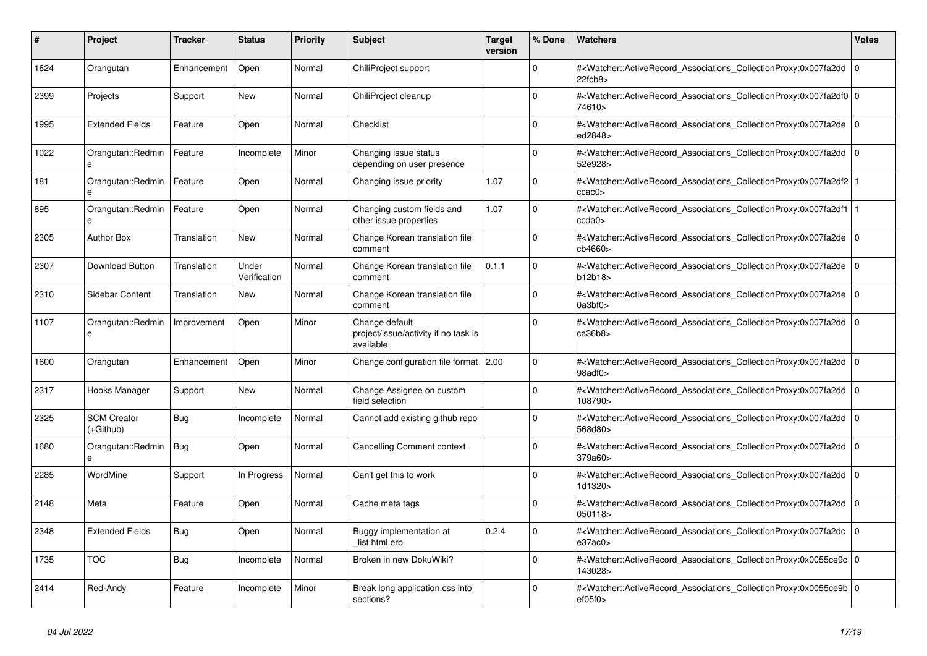| #    | Project                           | Tracker     | <b>Status</b>         | <b>Priority</b> | <b>Subject</b>                                                      | <b>Target</b><br>version | % Done      | <b>Watchers</b>                                                                                                                                           | <b>Votes</b>   |
|------|-----------------------------------|-------------|-----------------------|-----------------|---------------------------------------------------------------------|--------------------------|-------------|-----------------------------------------------------------------------------------------------------------------------------------------------------------|----------------|
| 1624 | Orangutan                         | Enhancement | Open                  | Normal          | ChiliProject support                                                |                          | $\Omega$    | # <watcher::activerecord 0<br="" associations="" collectionproxy:0x007fa2dd=""  =""><math>22</math>fcb<math>8</math></watcher::activerecord>              |                |
| 2399 | Projects                          | Support     | New                   | Normal          | ChiliProject cleanup                                                |                          | $\mathbf 0$ | # <watcher::activerecord_associations_collectionproxy:0x007fa2df0 0<br=""  ="">74610&gt;</watcher::activerecord_associations_collectionproxy:0x007fa2df0> |                |
| 1995 | <b>Extended Fields</b>            | Feature     | Open                  | Normal          | Checklist                                                           |                          | $\Omega$    | # <watcher::activerecord 0<br="" associations="" collectionproxy:0x007fa2de=""  ="">ed2848&gt;</watcher::activerecord>                                    |                |
| 1022 | Orangutan::Redmin<br>e            | Feature     | Incomplete            | Minor           | Changing issue status<br>depending on user presence                 |                          | $\Omega$    | # <watcher::activerecord_associations_collectionproxy:0x007fa2dd 0<br=""  ="">52e928&gt;</watcher::activerecord_associations_collectionproxy:0x007fa2dd>  |                |
| 181  | Orangutan::Redmin<br>e            | Feature     | Open                  | Normal          | Changing issue priority                                             | 1.07                     | $\mathbf 0$ | # <watcher::activerecord_associations_collectionproxy:0x007fa2df2 1<br=""  ="">ccac0</watcher::activerecord_associations_collectionproxy:0x007fa2df2>     |                |
| 895  | Orangutan::Redmin                 | Feature     | Open                  | Normal          | Changing custom fields and<br>other issue properties                | 1.07                     | $\mathbf 0$ | # <watcher::activerecord 1<br="" associations="" collectionproxy:0x007fa2df1=""  ="">ccda0</watcher::activerecord>                                        |                |
| 2305 | <b>Author Box</b>                 | Translation | <b>New</b>            | Normal          | Change Korean translation file<br>comment                           |                          | $\Omega$    | # <watcher::activerecord_associations_collectionproxy:0x007fa2de<br>cb4660&gt;</watcher::activerecord_associations_collectionproxy:0x007fa2de<br>         | l O            |
| 2307 | Download Button                   | Translation | Under<br>Verification | Normal          | Change Korean translation file<br>comment                           | 0.1.1                    | $\mathbf 0$ | # <watcher::activerecord_associations_collectionproxy:0x007fa2de 0<br=""  ="">b12b18&gt;</watcher::activerecord_associations_collectionproxy:0x007fa2de>  |                |
| 2310 | Sidebar Content                   | Translation | New                   | Normal          | Change Korean translation file<br>comment                           |                          | $\Omega$    | # <watcher::activerecord_associations_collectionproxy:0x007fa2de 0<br=""  ="">0a3bf0&gt;</watcher::activerecord_associations_collectionproxy:0x007fa2de>  |                |
| 1107 | Orangutan::Redmin<br>$\mathbf{a}$ | Improvement | Open                  | Minor           | Change default<br>project/issue/activity if no task is<br>available |                          | $\Omega$    | # <watcher::activerecord associations="" collectionproxy:0x007fa2dd<br="">ca36b8</watcher::activerecord>                                                  | $\overline{0}$ |
| 1600 | Orangutan                         | Enhancement | Open                  | Minor           | Change configuration file format   2.00                             |                          | $\Omega$    | # <watcher::activerecord_associations_collectionproxy:0x007fa2dd 0<br=""  ="">98adf0&gt;</watcher::activerecord_associations_collectionproxy:0x007fa2dd>  |                |
| 2317 | Hooks Manager                     | Support     | New                   | Normal          | Change Assignee on custom<br>field selection                        |                          | $\Omega$    | # <watcher::activerecord 0<br="" associations="" collectionproxy:0x007fa2dd=""  ="">108790&gt;</watcher::activerecord>                                    |                |
| 2325 | <b>SCM Creator</b><br>(+Github)   | Bug         | Incomplete            | Normal          | Cannot add existing github repo                                     |                          | $\Omega$    | # <watcher::activerecord_associations_collectionproxy:0x007fa2dd<br>568d80&gt;</watcher::activerecord_associations_collectionproxy:0x007fa2dd<br>         | l 0            |
| 1680 | Orangutan::Redmin<br>e            | Bug         | Open                  | Normal          | <b>Cancelling Comment context</b>                                   |                          | $\Omega$    | # <watcher::activerecord_associations_collectionproxy:0x007fa2dd 0<br=""  ="">379a60&gt;</watcher::activerecord_associations_collectionproxy:0x007fa2dd>  |                |
| 2285 | WordMine                          | Support     | In Progress           | Normal          | Can't get this to work                                              |                          | $\mathbf 0$ | # <watcher::activerecord_associations_collectionproxy:0x007fa2dd 0<br=""  ="">1d1320&gt;</watcher::activerecord_associations_collectionproxy:0x007fa2dd>  |                |
| 2148 | Meta                              | Feature     | Open                  | Normal          | Cache meta tags                                                     |                          | 0           | # <watcher::activerecord_associations_collectionproxy:0x007fa2dd<br>050118&gt;</watcher::activerecord_associations_collectionproxy:0x007fa2dd<br>         | l 0            |
| 2348 | <b>Extended Fields</b>            | Bug         | Open                  | Normal          | Buggy implementation at<br>list.html.erb                            | 0.2.4                    | $\Omega$    | # <watcher::activerecord 0<br="" associations="" collectionproxy:0x007fa2dc=""  ="">e37ac0</watcher::activerecord>                                        |                |
| 1735 | <b>TOC</b>                        | Bug         | Incomplete            | Normal          | Broken in new DokuWiki?                                             |                          | $\mathbf 0$ | # <watcher::activerecord_associations_collectionproxy:0x0055ce9c 0<br=""  ="">143028&gt;</watcher::activerecord_associations_collectionproxy:0x0055ce9c>  |                |
| 2414 | Red-Andy                          | Feature     | Incomplete            | Minor           | Break long application.css into<br>sections?                        |                          | $\Omega$    | # <watcher::activerecord_associations_collectionproxy:0x0055ce9b 0<br=""  ="">ef05f0</watcher::activerecord_associations_collectionproxy:0x0055ce9b>      |                |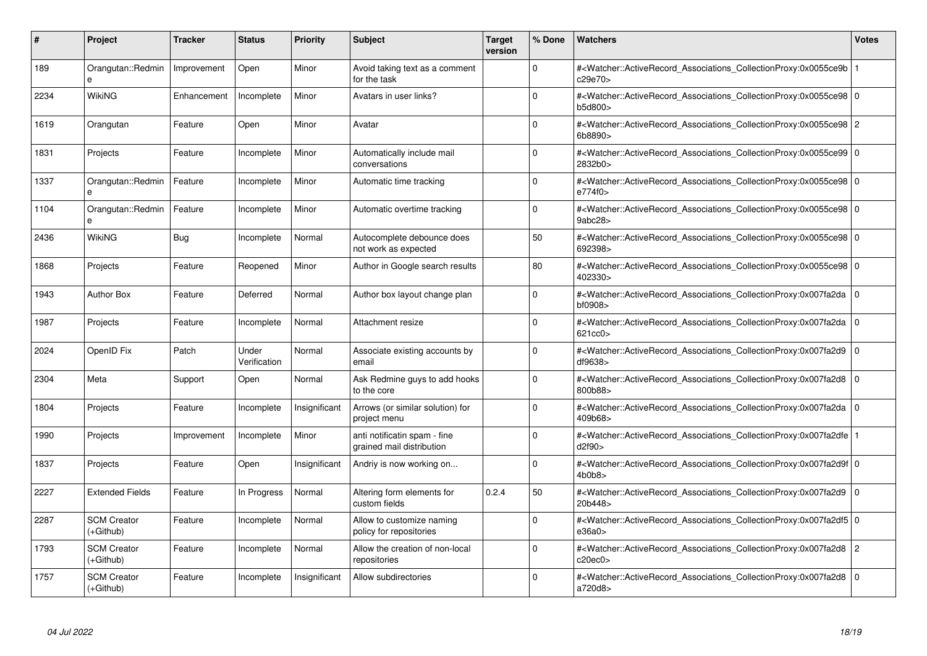| #    | Project                           | <b>Tracker</b> | <b>Status</b>         | <b>Priority</b> | <b>Subject</b>                                            | <b>Target</b><br>version | % Done      | <b>Watchers</b>                                                                                                                                          | <b>Votes</b> |
|------|-----------------------------------|----------------|-----------------------|-----------------|-----------------------------------------------------------|--------------------------|-------------|----------------------------------------------------------------------------------------------------------------------------------------------------------|--------------|
| 189  | Orangutan::Redmin<br>$\mathbf{a}$ | Improvement    | Open                  | Minor           | Avoid taking text as a comment<br>for the task            |                          | $\Omega$    | # <watcher::activerecord 1<br="" associations="" collectionproxy:0x0055ce9b=""  ="">c29e70&gt;</watcher::activerecord>                                   |              |
| 2234 | WikiNG                            | Enhancement    | Incomplete            | Minor           | Avatars in user links?                                    |                          | $\Omega$    | # <watcher::activerecord 0<br="" associations="" collectionproxy:0x0055ce98="">b5d800&gt;</watcher::activerecord>                                        |              |
| 1619 | Orangutan                         | Feature        | Open                  | Minor           | Avatar                                                    |                          | $\Omega$    | # <watcher::activerecord_associations_collectionproxy:0x0055ce98 2<br="">6b8890&gt;</watcher::activerecord_associations_collectionproxy:0x0055ce98>      |              |
| 1831 | Projects                          | Feature        | Incomplete            | Minor           | Automatically include mail<br>conversations               |                          | $\Omega$    | # <watcher::activerecord 0<br="" associations="" collectionproxy:0x0055ce99=""  ="">2832b0&gt;</watcher::activerecord>                                   |              |
| 1337 | Orangutan::Redmin                 | Feature        | Incomplete            | Minor           | Automatic time tracking                                   |                          | $\Omega$    | # <watcher::activerecord_associations_collectionproxy:0x0055ce98 0<br="">e774f0&gt;</watcher::activerecord_associations_collectionproxy:0x0055ce98>      |              |
| 1104 | Orangutan::Redmin<br>e            | Feature        | Incomplete            | Minor           | Automatic overtime tracking                               |                          | $\Omega$    | # <watcher::activerecord 0<br="" associations="" collectionproxy:0x0055ce98="">9abc28&gt;</watcher::activerecord>                                        |              |
| 2436 | <b>WikiNG</b>                     | Bug            | Incomplete            | Normal          | Autocomplete debounce does<br>not work as expected        |                          | 50          | # <watcher::activerecord_associations_collectionproxy:0x0055ce98 0<br=""  ="">692398&gt;</watcher::activerecord_associations_collectionproxy:0x0055ce98> |              |
| 1868 | Projects                          | Feature        | Reopened              | Minor           | Author in Google search results                           |                          | 80          | # <watcher::activerecord_associations_collectionproxy:0x0055ce98 0<br=""  ="">402330&gt;</watcher::activerecord_associations_collectionproxy:0x0055ce98> |              |
| 1943 | <b>Author Box</b>                 | Feature        | Deferred              | Normal          | Author box layout change plan                             |                          | $\Omega$    | # <watcher::activerecord associations="" collectionproxy:0x007fa2da<br="">bf0908&gt;</watcher::activerecord>                                             | $\mathbf 0$  |
| 1987 | Projects                          | Feature        | Incomplete            | Normal          | Attachment resize                                         |                          | $\Omega$    | # <watcher::activerecord_associations_collectionproxy:0x007fa2da 0<br=""  ="">621cc0&gt;</watcher::activerecord_associations_collectionproxy:0x007fa2da> |              |
| 2024 | OpenID Fix                        | Patch          | Under<br>Verification | Normal          | Associate existing accounts by<br>email                   |                          | $\Omega$    | # <watcher::activerecord associations="" collectionproxy:0x007fa2d9<br="">df9638&gt;</watcher::activerecord>                                             | $\mathbf 0$  |
| 2304 | Meta                              | Support        | Open                  | Normal          | Ask Redmine guys to add hooks<br>to the core              |                          | $\mathbf 0$ | # <watcher::activerecord_associations_collectionproxy:0x007fa2d8 0<br="">800b88&gt;</watcher::activerecord_associations_collectionproxy:0x007fa2d8>      |              |
| 1804 | Projects                          | Feature        | Incomplete            | Insignificant   | Arrows (or similar solution) for<br>project menu          |                          | $\Omega$    | # <watcher::activerecord 0<br="" associations="" collectionproxy:0x007fa2da=""  ="">409b68&gt;</watcher::activerecord>                                   |              |
| 1990 | Projects                          | Improvement    | Incomplete            | Minor           | anti notificatin spam - fine<br>grained mail distribution |                          | $\mathbf 0$ | # <watcher::activerecord 1<br="" associations="" collectionproxy:0x007fa2dfe=""  ="">d2f90</watcher::activerecord>                                       |              |
| 1837 | Projects                          | Feature        | Open                  | Insignificant   | Andriy is now working on                                  |                          | $\Omega$    | # <watcher::activerecord_associations_collectionproxy:0x007fa2d9f 0<br="">4b0b8</watcher::activerecord_associations_collectionproxy:0x007fa2d9f>         |              |
| 2227 | <b>Extended Fields</b>            | Feature        | In Progress           | Normal          | Altering form elements for<br>custom fields               | 0.2.4                    | 50          | # <watcher::activerecord 0<br="" associations="" collectionproxy:0x007fa2d9=""  ="">20b448&gt;</watcher::activerecord>                                   |              |
| 2287 | <b>SCM Creator</b><br>(+Github)   | Feature        | Incomplete            | Normal          | Allow to customize naming<br>policy for repositories      |                          | $\Omega$    | # <watcher::activerecord_associations_collectionproxy:0x007fa2df5 0<br=""  ="">e36a0</watcher::activerecord_associations_collectionproxy:0x007fa2df5>    |              |
| 1793 | <b>SCM Creator</b><br>(+Github)   | Feature        | Incomplete            | Normal          | Allow the creation of non-local<br>repositories           |                          | $\Omega$    | # <watcher::activerecord_associations_collectionproxy:0x007fa2d8 2<br="">c20ec0</watcher::activerecord_associations_collectionproxy:0x007fa2d8>          |              |
| 1757 | <b>SCM Creator</b><br>$(+Github)$ | Feature        | Incomplete            | Insignificant   | Allow subdirectories                                      |                          | $\Omega$    | # <watcher::activerecord_associations_collectionproxy:0x007fa2d8<br>a720d8&gt;</watcher::activerecord_associations_collectionproxy:0x007fa2d8<br>        | l 0          |